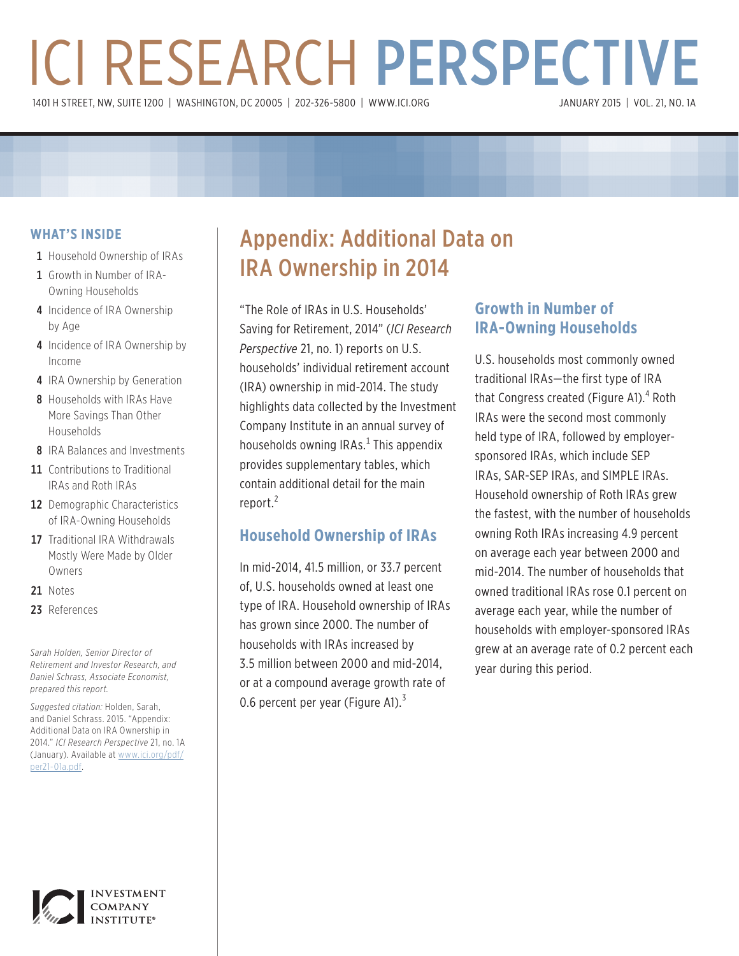# ICI RESEARCH PERSPECTIVE 1401 H STREET, NW, SUITE 1200 | WASHINGTON, DC 20005 | 202-326-5800 | [WWW.ICI.ORG](www.ici.org)

#### **WHAT'S INSIDE**

- 1 Household Ownership of IRAs
- 1 [Growth in Number of IRA-](http://www.ici.org/pdf/per18-08.pdf)[Owning Households](http://www.ici.org/pdf/per18-08.pdf)
- 4 [Incidence of IRA Ownership](http://www.ici.org/pdf/per18-09.pdf)  [by Age](http://www.ici.org/pdf/per18-09.pdf)
- 4 Incidence of IRA Ownership by [Income](http://www.ici.org/pdf/per19-07.pdf)
- 4 IRA Ownership by Generation
- 8 Households with IRAs Have [More Savings Than Other](http://www.irs.gov/pub/irs-pdf/p590.pdf)  [Households](http://www.irs.gov/pub/irs-pdf/p590.pdf)
- 8 [IRA Balances and Investments](http://www.ici.org/info/ret_13_q2_data.xls)
- 11 Contributions to Traditional [IRAs and Roth IRAs](http://www.ici.org/pdf/rpt_08_dcdd.pdf)
- 12 Demographic Characteristics [of IRA-Owning Households](http://www.ici.org/pdf/rpt_08_equity_owners.pdf)
- 17 Traditional IRA Withdrawals [Mostly Were Made by Older](http://www.ici.org/pdf/per15-03.pdf)  [Owners](http://www.ici.org/pdf/per15-03.pdf)
- 21 [Notes](http://www.census.gov/prod/2013pubs/p60-245.pdf)
- 23 [References](http://www.federalreserve.gov/releases/z1/Current/)

*Sarah Holden, Senior Director of Retirement and Investor Research, and Daniel Schrass, Associate Economist, prepared this report.*

*Suggested citation:* Holden, Sarah, and Daniel Schrass. 2015. "Appendix: Additional Data on IRA Ownership in 2014." *ICI Research Perspective* 21, no. 1A (January). Available at [www.ici.org/pdf/](www.ici.org/pdf/per21-01a.pdf) [per21-01a.pdf.](www.ici.org/pdf/per21-01a.pdf)

## Appendix: Additional Data on IRA Ownership in 2014

"The Role of IRAs in U.S. Households' Saving for Retirement, 2014" (*ICI Research Perspective* 21, no. 1) reports on U.S. households' individual retirement account (IRA) ownership in mid-2014. The study highlights data collected by the Investment Company Institute in an annual survey of households owning IRAs.<sup>1</sup> This appendix provides supplementary tables, which contain additional detail for the main report.<sup>2</sup>

## **Household Ownership of IRAs**

In mid-2014, 41.5 million, or 33.7 percent of, U.S. households owned at least one type of IRA. Household ownership of IRAs has grown since 2000. The number of households with IRAs increased by 3.5 million between 2000 and mid-2014, or at a compound average growth rate of 0.6 percent per year (Figure A1). $3$ 

## **Growth in Number of IRA-Owning Households**

U.S. households most commonly owned traditional IRAs—the first type of IRA that Congress created (Figure A1).<sup>4</sup> Roth IRAs were the second most commonly held type of IRA, followed by employersponsored IRAs, which include SEP IRAs, SAR-SEP IRAs, and SIMPLE IRAs. Household ownership of Roth IRAs grew the fastest, with the number of households owning Roth IRAs increasing 4.9 percent on average each year between 2000 and mid-2014. The number of households that owned traditional IRAs rose 0.1 percent on average each year, while the number of households with employer-sponsored IRAs grew at an average rate of 0.2 percent each year during this period.

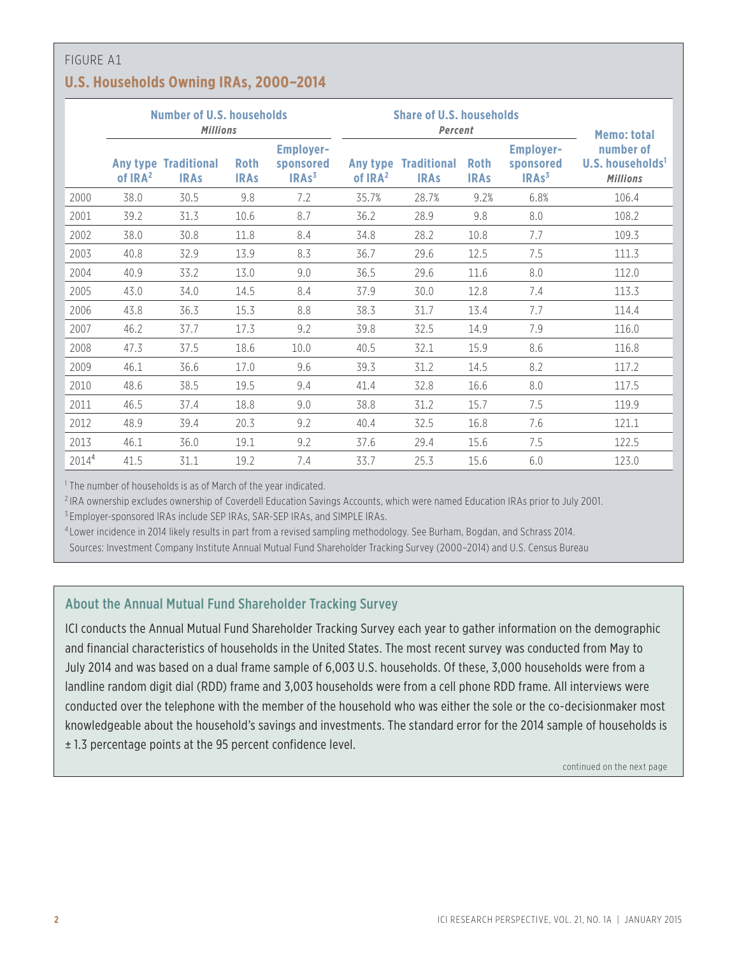## FIGURE A1 **U.S. Households Owning IRAs, 2000–2014**

|                   | <b>Number of U.S. households</b><br><b>Millions</b> |                                   |                            |                                                    | <b>Share of U.S. households</b><br>Percent | <b>Memo: total</b>                |                            |                                                    |                                                              |
|-------------------|-----------------------------------------------------|-----------------------------------|----------------------------|----------------------------------------------------|--------------------------------------------|-----------------------------------|----------------------------|----------------------------------------------------|--------------------------------------------------------------|
|                   | Any type<br>of $IRA2$                               | <b>Traditional</b><br><b>IRAs</b> | <b>Roth</b><br><b>IRAs</b> | <b>Employer-</b><br>sponsored<br>IRAs <sup>3</sup> | Any type<br>of IRA <sup>2</sup>            | <b>Traditional</b><br><b>IRAs</b> | <b>Roth</b><br><b>IRAs</b> | <b>Employer-</b><br>sponsored<br>IRAs <sup>3</sup> | number of<br>U.S. households <sup>1</sup><br><b>Millions</b> |
| 2000              | 38.0                                                | 30.5                              | 9.8                        | 7.2                                                | 35.7%                                      | 28.7%                             | 9.2%                       | 6.8%                                               | 106.4                                                        |
| 2001              | 39.2                                                | 31.3                              | 10.6                       | 8.7                                                | 36.2                                       | 28.9                              | 9.8                        | 8.0                                                | 108.2                                                        |
| 2002              | 38.0                                                | 30.8                              | 11.8                       | 8.4                                                | 34.8                                       | 28.2                              | 10.8                       | 7.7                                                | 109.3                                                        |
| 2003              | 40.8                                                | 32.9                              | 13.9                       | 8.3                                                | 36.7                                       | 29.6                              | 12.5                       | 7.5                                                | 111.3                                                        |
| 2004              | 40.9                                                | 33.2                              | 13.0                       | 9.0                                                | 36.5                                       | 29.6                              | 11.6                       | 8.0                                                | 112.0                                                        |
| 2005              | 43.0                                                | 34.0                              | 14.5                       | 8.4                                                | 37.9                                       | 30.0                              | 12.8                       | 7.4                                                | 113.3                                                        |
| 2006              | 43.8                                                | 36.3                              | 15.3                       | 8.8                                                | 38.3                                       | 31.7                              | 13.4                       | 7.7                                                | 114.4                                                        |
| 2007              | 46.2                                                | 37.7                              | 17.3                       | 9.2                                                | 39.8                                       | 32.5                              | 14.9                       | 7.9                                                | 116.0                                                        |
| 2008              | 47.3                                                | 37.5                              | 18.6                       | 10.0                                               | 40.5                                       | 32.1                              | 15.9                       | 8.6                                                | 116.8                                                        |
| 2009              | 46.1                                                | 36.6                              | 17.0                       | 9.6                                                | 39.3                                       | 31.2                              | 14.5                       | 8.2                                                | 117.2                                                        |
| 2010              | 48.6                                                | 38.5                              | 19.5                       | 9.4                                                | 41.4                                       | 32.8                              | 16.6                       | 8.0                                                | 117.5                                                        |
| 2011              | 46.5                                                | 37.4                              | 18.8                       | 9.0                                                | 38.8                                       | 31.2                              | 15.7                       | 7.5                                                | 119.9                                                        |
| 2012              | 48.9                                                | 39.4                              | 20.3                       | 9.2                                                | 40.4                                       | 32.5                              | 16.8                       | 7.6                                                | 121.1                                                        |
| 2013              | 46.1                                                | 36.0                              | 19.1                       | 9.2                                                | 37.6                                       | 29.4                              | 15.6                       | 7.5                                                | 122.5                                                        |
| 2014 <sup>4</sup> | 41.5                                                | 31.1                              | 19.2                       | 7.4                                                | 33.7                                       | 25.3                              | 15.6                       | 6.0                                                | 123.0                                                        |

<sup>1</sup> The number of households is as of March of the year indicated.

<sup>2</sup> IRA ownership excludes ownership of Coverdell Education Savings Accounts, which were named Education IRAs prior to July 2001.

<sup>3</sup> Employer-sponsored IRAs include SEP IRAs, SAR-SEP IRAs, and SIMPLE IRAs.

<sup>4</sup> Lower incidence in 2014 likely results in part from a revised sampling methodology. See Burham, Bogdan, and Schrass 2014.

Sources: Investment Company Institute Annual Mutual Fund Shareholder Tracking Survey (2000–2014) and U.S. Census Bureau

#### About the Annual Mutual Fund Shareholder Tracking Survey

ICI conducts the Annual Mutual Fund Shareholder Tracking Survey each year to gather information on the demographic and financial characteristics of households in the United States. The most recent survey was conducted from May to July 2014 and was based on a dual frame sample of 6,003 U.S. households. Of these, 3,000 households were from a landline random digit dial (RDD) frame and 3,003 households were from a cell phone RDD frame. All interviews were conducted over the telephone with the member of the household who was either the sole or the co-decisionmaker most knowledgeable about the household's savings and investments. The standard error for the 2014 sample of households is ± 1.3 percentage points at the 95 percent confidence level.

continued on the next page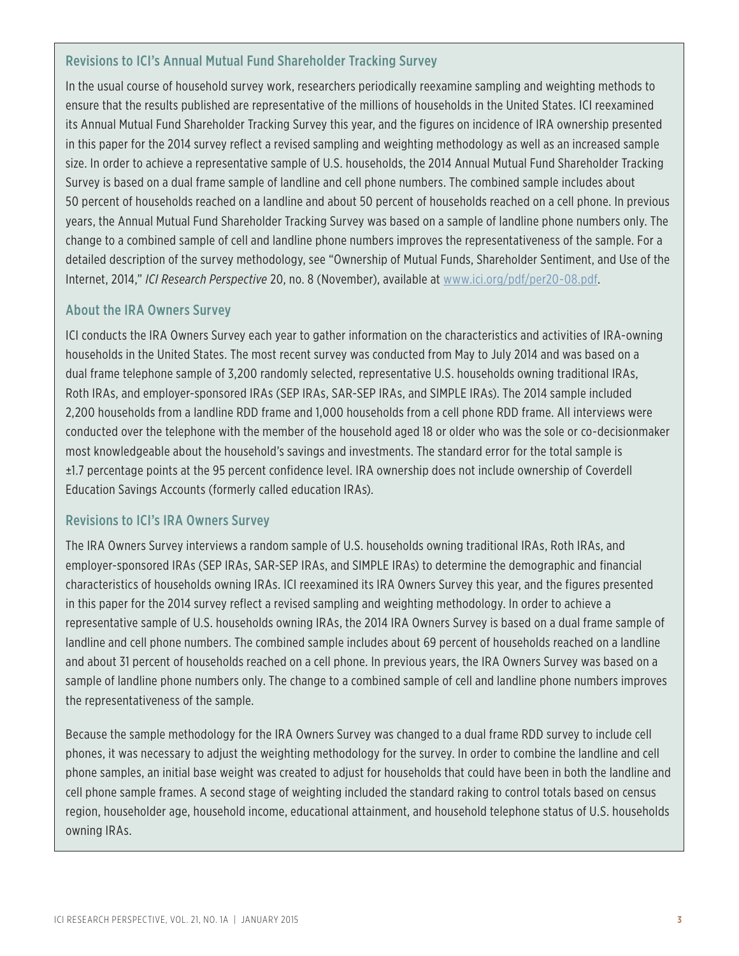#### Revisions to ICI's Annual Mutual Fund Shareholder Tracking Survey

In the usual course of household survey work, researchers periodically reexamine sampling and weighting methods to ensure that the results published are representative of the millions of households in the United States. ICI reexamined its Annual Mutual Fund Shareholder Tracking Survey this year, and the figures on incidence of IRA ownership presented in this paper for the 2014 survey reflect a revised sampling and weighting methodology as well as an increased sample size. In order to achieve a representative sample of U.S. households, the 2014 Annual Mutual Fund Shareholder Tracking Survey is based on a dual frame sample of landline and cell phone numbers. The combined sample includes about 50 percent of households reached on a landline and about 50 percent of households reached on a cell phone. In previous years, the Annual Mutual Fund Shareholder Tracking Survey was based on a sample of landline phone numbers only. The change to a combined sample of cell and landline phone numbers improves the representativeness of the sample. For a detailed description of the survey methodology, see "Ownership of Mutual Funds, Shareholder Sentiment, and Use of the Internet, 2014," *ICI Research Perspective* 20, no. 8 (November), available at <www.ici.org/pdf/per20-08.pdf>.

#### About the IRA Owners Survey

ICI conducts the IRA Owners Survey each year to gather information on the characteristics and activities of IRA-owning households in the United States. The most recent survey was conducted from May to July 2014 and was based on a dual frame telephone sample of 3,200 randomly selected, representative U.S. households owning traditional IRAs, Roth IRAs, and employer-sponsored IRAs (SEP IRAs, SAR-SEP IRAs, and SIMPLE IRAs). The 2014 sample included 2,200 households from a landline RDD frame and 1,000 households from a cell phone RDD frame. All interviews were conducted over the telephone with the member of the household aged 18 or older who was the sole or co-decisionmaker most knowledgeable about the household's savings and investments. The standard error for the total sample is ±1.7 percentage points at the 95 percent confidence level. IRA ownership does not include ownership of Coverdell Education Savings Accounts (formerly called education IRAs).

#### Revisions to ICI's IRA Owners Survey

The IRA Owners Survey interviews a random sample of U.S. households owning traditional IRAs, Roth IRAs, and employer-sponsored IRAs (SEP IRAs, SAR-SEP IRAs, and SIMPLE IRAs) to determine the demographic and financial characteristics of households owning IRAs. ICI reexamined its IRA Owners Survey this year, and the figures presented in this paper for the 2014 survey reflect a revised sampling and weighting methodology. In order to achieve a representative sample of U.S. households owning IRAs, the 2014 IRA Owners Survey is based on a dual frame sample of landline and cell phone numbers. The combined sample includes about 69 percent of households reached on a landline and about 31 percent of households reached on a cell phone. In previous years, the IRA Owners Survey was based on a sample of landline phone numbers only. The change to a combined sample of cell and landline phone numbers improves the representativeness of the sample.

Because the sample methodology for the IRA Owners Survey was changed to a dual frame RDD survey to include cell phones, it was necessary to adjust the weighting methodology for the survey. In order to combine the landline and cell phone samples, an initial base weight was created to adjust for households that could have been in both the landline and cell phone sample frames. A second stage of weighting included the standard raking to control totals based on census region, householder age, household income, educational attainment, and household telephone status of U.S. households owning IRAs.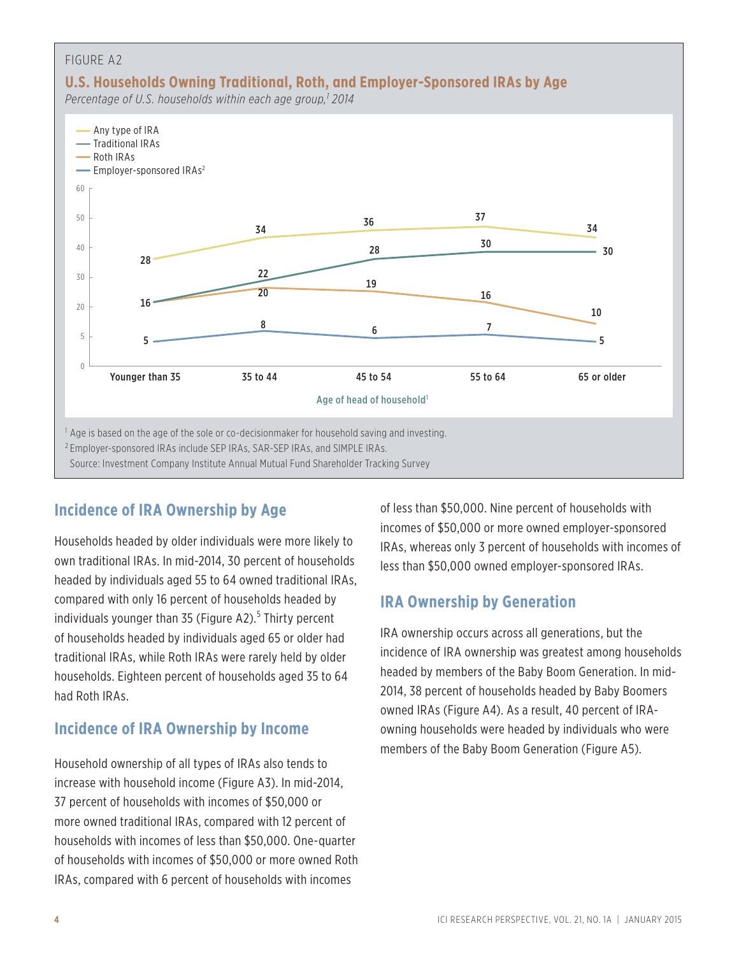

## **Incidence of IRA Ownership by Age**

Households headed by older individuals were more likely to own traditional IRAs. In mid-2014, 30 percent of households headed by individuals aged 55 to 64 owned traditional IRAs, compared with only 16 percent of households headed by individuals younger than 35 (Figure A2).<sup>5</sup> Thirty percent of households headed by individuals aged 65 or older had traditional IRAs, while Roth IRAs were rarely held by older households. Eighteen percent of households aged 35 to 64 had Roth IRAs.

## **Incidence of IRA Ownership by Income**

Household ownership of all types of IRAs also tends to increase with household income (Figure A3). In mid-2014, 37 percent of households with incomes of \$50,000 or more owned traditional IRAs, compared with 12 percent of households with incomes of less than \$50,000. One-quarter of households with incomes of \$50,000 or more owned Roth IRAs, compared with 6 percent of households with incomes

of less than \$50,000. Nine percent of households with incomes of \$50,000 or more owned employer-sponsored IRAs, whereas only 3 percent of households with incomes of less than \$50,000 owned employer-sponsored IRAs.

## **IRA Ownership by Generation**

IRA ownership occurs across all generations, but the incidence of IRA ownership was greatest among households headed by members of the Baby Boom Generation. In mid-2014, 38 percent of households headed by Baby Boomers owned IRAs (Figure A4). As a result, 40 percent of IRAowning households were headed by individuals who were members of the Baby Boom Generation (Figure A5).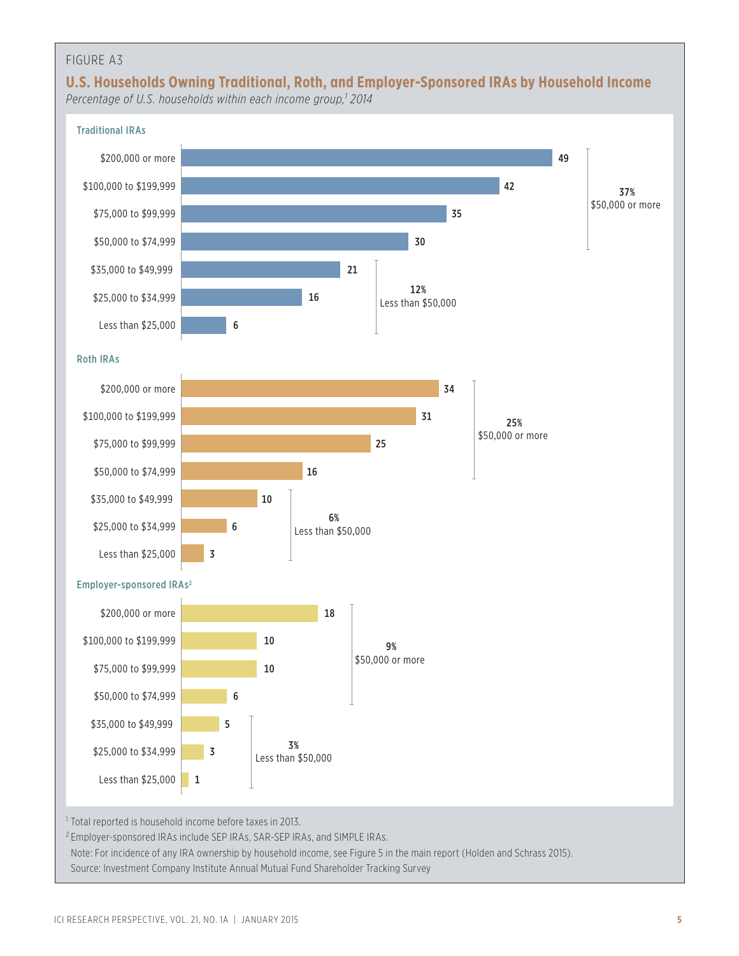## **U.S. Households Owning Traditional, Roth, and Employer-Sponsored IRAs by Household Income**

*Percentage of U.S. households within each income group,1 2014*

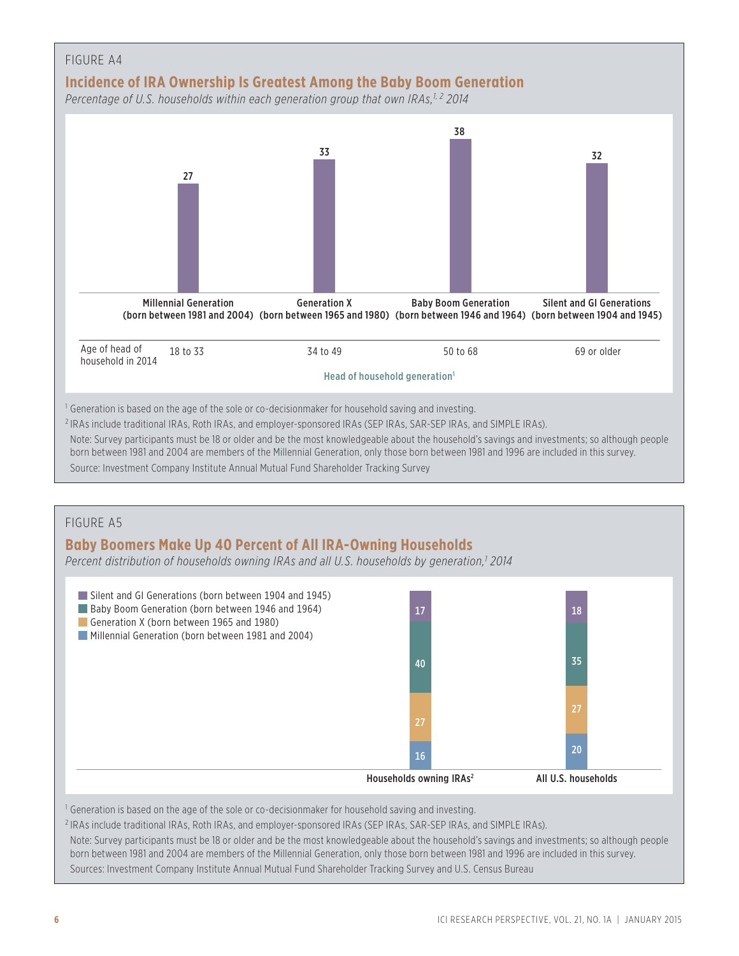

Source: Investment Company Institute Annual Mutual Fund Shareholder Tracking Survey

#### FIGURE A5

## **Baby Boomers Make Up 40 Percent of All IRA-Owning Households**

*Percent distribution of households owning IRAs and all U.S. households by generation,1 2014*



Note: Survey participants must be 18 or older and be the most knowledgeable about the household's savings and investments; so although people born between 1981 and 2004 are members of the Millennial Generation, only those born between 1981 and 1996 are included in this survey. Sources: Investment Company Institute Annual Mutual Fund Shareholder Tracking Survey and U.S. Census Bureau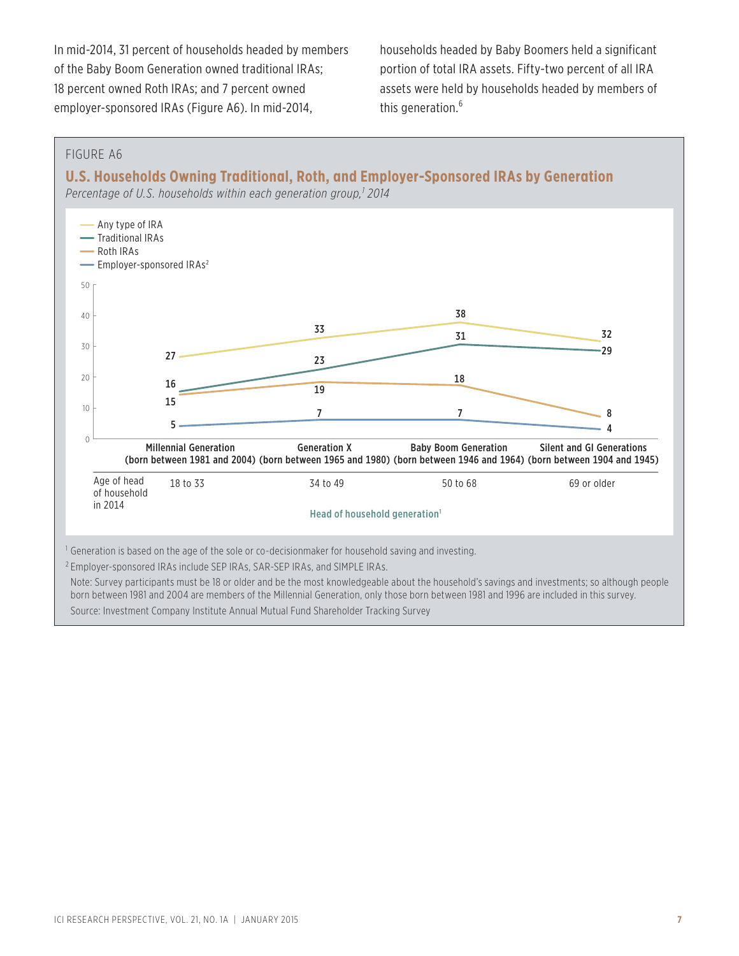In mid-2014, 31 percent of households headed by members of the Baby Boom Generation owned traditional IRAs; 18 percent owned Roth IRAs; and 7 percent owned employer-sponsored IRAs (Figure A6). In mid-2014,

households headed by Baby Boomers held a significant portion of total IRA assets. Fifty-two percent of all IRA assets were held by households headed by members of this generation.<sup>6</sup>

#### FIGURE A6

**U.S. Households Owning Traditional, Roth, and Employer-Sponsored IRAs by Generation**

*Percentage of U.S. households within each generation group,1 2014*



Note: Survey participants must be 18 or older and be the most knowledgeable about the household's savings and investments; so although people born between 1981 and 2004 are members of the Millennial Generation, only those born between 1981 and 1996 are included in this survey. Source: Investment Company Institute Annual Mutual Fund Shareholder Tracking Survey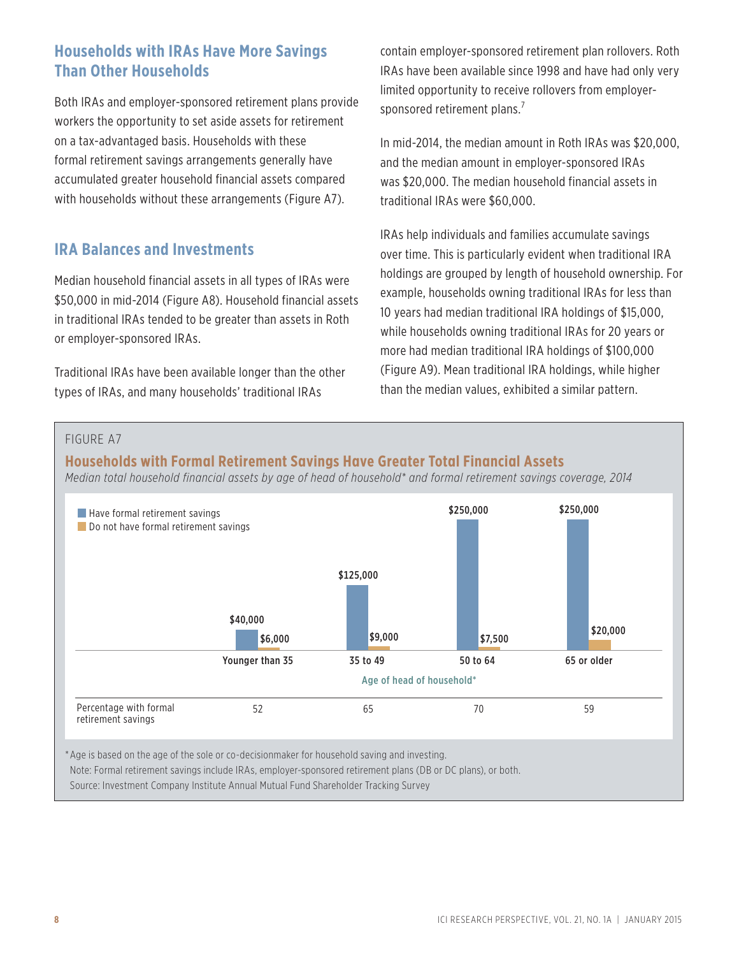## **Households with IRAs Have More Savings Than Other Households**

Both IRAs and employer-sponsored retirement plans provide workers the opportunity to set aside assets for retirement on a tax-advantaged basis. Households with these formal retirement savings arrangements generally have accumulated greater household financial assets compared with households without these arrangements (Figure A7).

## **IRA Balances and Investments**

Median household financial assets in all types of IRAs were \$50,000 in mid-2014 (Figure A8). Household financial assets in traditional IRAs tended to be greater than assets in Roth or employer-sponsored IRAs.

Traditional IRAs have been available longer than the other types of IRAs, and many households' traditional IRAs

contain employer-sponsored retirement plan rollovers. Roth IRAs have been available since 1998 and have had only very limited opportunity to receive rollovers from employersponsored retirement plans.<sup>7</sup>

In mid-2014, the median amount in Roth IRAs was \$20,000, and the median amount in employer-sponsored IRAs was \$20,000. The median household financial assets in traditional IRAs were \$60,000.

IRAs help individuals and families accumulate savings over time. This is particularly evident when traditional IRA holdings are grouped by length of household ownership. For example, households owning traditional IRAs for less than 10 years had median traditional IRA holdings of \$15,000, while households owning traditional IRAs for 20 years or more had median traditional IRA holdings of \$100,000 (Figure A9). Mean traditional IRA holdings, while higher than the median values, exhibited a similar pattern.

#### FIGURE A7

## **Households with Formal Retirement Savings Have Greater Total Financial Assets** *Median total household financial assets by age of head of household\* and formal retirement savings coverage, 2014*



Note: Formal retirement savings include IRAs, employer-sponsored retirement plans (DB or DC plans), or both.

Source: Investment Company Institute Annual Mutual Fund Shareholder Tracking Survey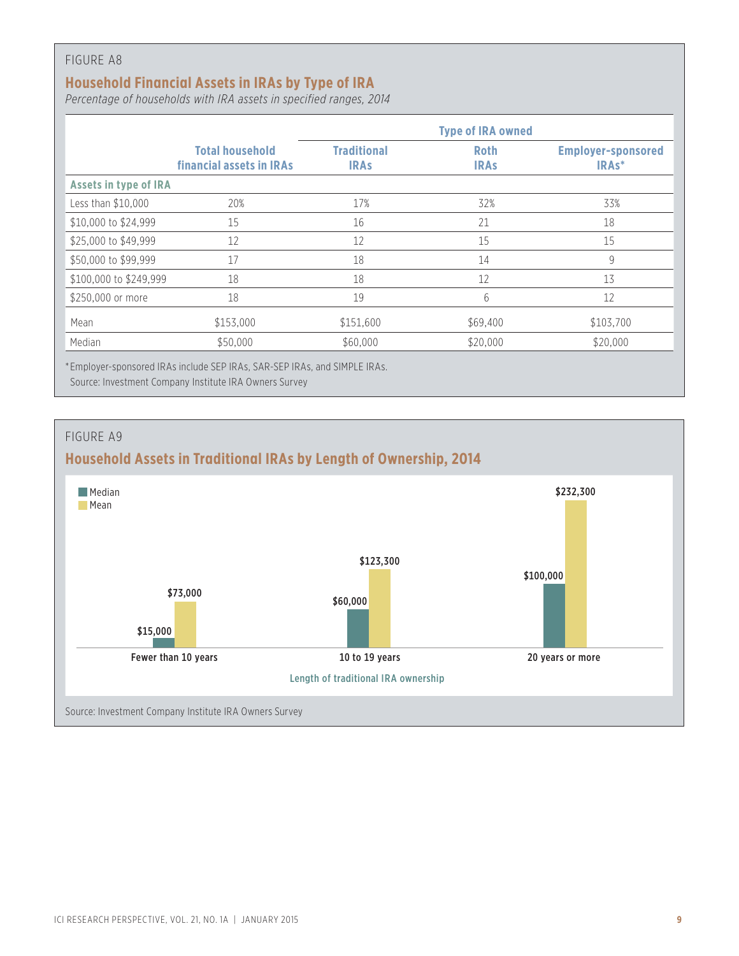## **Household Financial Assets in IRAs by Type of IRA**

*Percentage of households with IRA assets in specified ranges, 2014*

|                        |                                                    |                                   | <b>Type of IRA owned</b>   |                                                 |
|------------------------|----------------------------------------------------|-----------------------------------|----------------------------|-------------------------------------------------|
|                        | <b>Total household</b><br>financial assets in IRAs | <b>Traditional</b><br><b>IRAS</b> | <b>Roth</b><br><b>IRAS</b> | <b>Employer-sponsored</b><br>IRA <sub>s</sub> * |
| Assets in type of IRA  |                                                    |                                   |                            |                                                 |
| Less than \$10,000     | 20%                                                | 17%                               | 32%                        | 33%                                             |
| \$10,000 to \$24,999   | 15                                                 | 16                                | 21                         | 18                                              |
| \$25,000 to \$49,999   | 12                                                 | 12                                | 15                         | 15                                              |
| \$50,000 to \$99,999   | 17                                                 | 18                                | 14                         | 9                                               |
| \$100,000 to \$249,999 | 18                                                 | 18                                | 12                         | 13                                              |
| \$250,000 or more      | 18                                                 | 19                                | 6                          | 12                                              |
| Mean                   | \$153,000                                          | \$151,600                         | \$69,400                   | \$103,700                                       |
| Median                 | \$50,000                                           | \$60,000                          | \$20,000                   | \$20,000                                        |

\* Employer-sponsored IRAs include SEP IRAs, SAR-SEP IRAs, and SIMPLE IRAs.

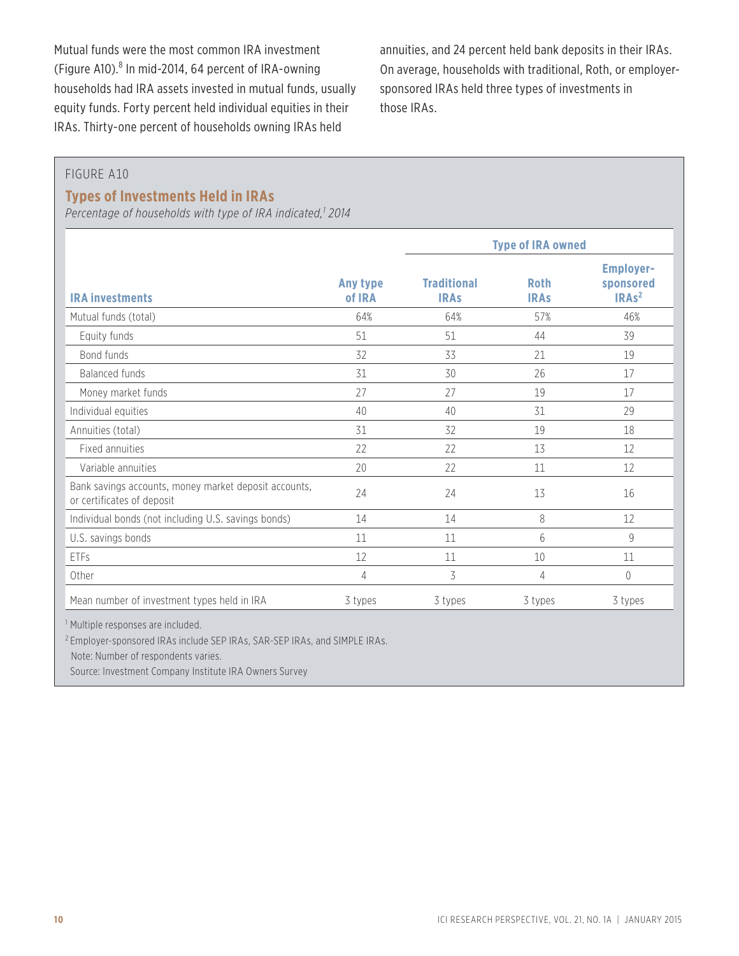Mutual funds were the most common IRA investment (Figure A10). $8$  In mid-2014, 64 percent of IRA-owning households had IRA assets invested in mutual funds, usually equity funds. Forty percent held individual equities in their IRAs. Thirty-one percent of households owning IRAs held

annuities, and 24 percent held bank deposits in their IRAs. On average, households with traditional, Roth, or employersponsored IRAs held three types of investments in those IRAs.

#### FIGURE A10

#### **Types of Investments Held in IRAs**

*Percentage of households with type of IRA indicated,1 2014*

|                                                                                     |                    | <b>Type of IRA owned</b>          |                            |                                                               |
|-------------------------------------------------------------------------------------|--------------------|-----------------------------------|----------------------------|---------------------------------------------------------------|
| <b>IRA investments</b>                                                              | Any type<br>of IRA | <b>Traditional</b><br><b>IRAS</b> | <b>Roth</b><br><b>IRAS</b> | <b>Employer-</b><br>sponsored<br>IRA <sub>s<sup>2</sup></sub> |
| Mutual funds (total)                                                                | 64%                | 64%                               | 57%                        | 46%                                                           |
| Equity funds                                                                        | 51                 | 51                                | 44                         | 39                                                            |
| Bond funds                                                                          | 32                 | 33                                | 21                         | 19                                                            |
| <b>Balanced funds</b>                                                               | 31                 | 30                                | 26                         | 17                                                            |
| Money market funds                                                                  | 27                 | 27                                | 19                         | 17                                                            |
| Individual equities                                                                 | 40                 | 40                                | 31                         | 29                                                            |
| Annuities (total)                                                                   | 31                 | 32                                | 19                         | 18                                                            |
| Fixed annuities                                                                     | 22                 | 22                                | 13                         | 12                                                            |
| Variable annuities                                                                  | 20                 | 22                                | 11                         | 12                                                            |
| Bank savings accounts, money market deposit accounts,<br>or certificates of deposit | 24                 | 24                                | 13                         | 16                                                            |
| Individual bonds (not including U.S. savings bonds)                                 | 14                 | 14                                | 8                          | 12                                                            |
| U.S. savings bonds                                                                  | 11                 | 11                                | 6                          | 9                                                             |
| ETFs                                                                                | 12                 | 11                                | 10                         | 11                                                            |
| Other                                                                               | 4                  | 3                                 | 4                          | 0                                                             |
| Mean number of investment types held in IRA                                         | 3 types            | 3 types                           | 3 types                    | 3 types                                                       |

<sup>1</sup> Multiple responses are included.

<sup>2</sup> Employer-sponsored IRAs include SEP IRAs, SAR-SEP IRAs, and SIMPLE IRAs.

Note: Number of respondents varies.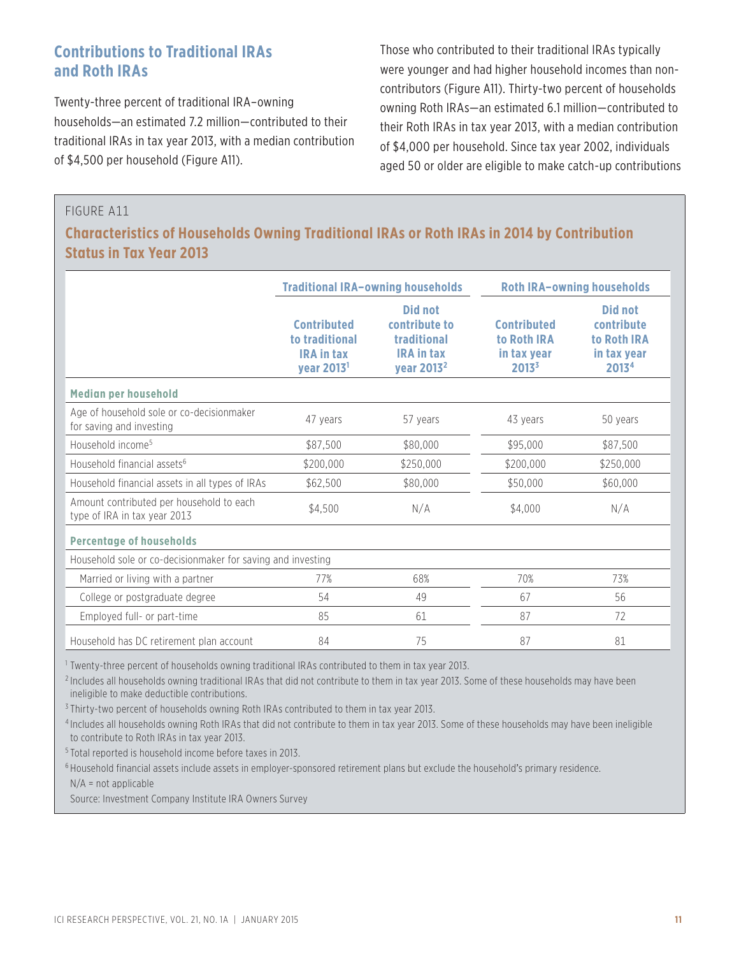## **Contributions to Traditional IRAs and Roth IRAs**

Twenty-three percent of traditional IRA–owning households—an estimated 7.2 million—contributed to their traditional IRAs in tax year 2013, with a median contribution of \$4,500 per household (Figure A11).

Those who contributed to their traditional IRAs typically were younger and had higher household incomes than noncontributors (Figure A11). Thirty-two percent of households owning Roth IRAs—an estimated 6.1 million—contributed to their Roth IRAs in tax year 2013, with a median contribution of \$4,000 per household. Since tax year 2002, individuals aged 50 or older are eligible to make catch-up contributions

#### FIGURE A11

## **Characteristics of Households Owning Traditional IRAs or Roth IRAs in 2014 by Contribution Status in Tax Year 2013**

|                                                                          |                                                                                     | <b>Traditional IRA-owning households</b>                                                      | <b>Roth IRA-owning households</b>                              |                                                              |  |
|--------------------------------------------------------------------------|-------------------------------------------------------------------------------------|-----------------------------------------------------------------------------------------------|----------------------------------------------------------------|--------------------------------------------------------------|--|
|                                                                          | <b>Contributed</b><br>to traditional<br><b>IRA in tax</b><br>year 2013 <sup>1</sup> | <b>Did not</b><br>contribute to<br>traditional<br><b>IRA in tax</b><br>year 2013 <sup>2</sup> | <b>Contributed</b><br>to Roth IRA<br>in tax year<br>$2013^{3}$ | Did not<br>contribute<br>to Roth IRA<br>in tax year<br>20134 |  |
| <b>Median per household</b>                                              |                                                                                     |                                                                                               |                                                                |                                                              |  |
| Age of household sole or co-decisionmaker<br>for saving and investing    | 47 years                                                                            | 57 years                                                                                      | 43 years                                                       | 50 years                                                     |  |
| Household income <sup>5</sup>                                            | \$87,500                                                                            | \$80,000                                                                                      | \$95,000                                                       | \$87,500                                                     |  |
| Household financial assets <sup>6</sup>                                  | \$200,000                                                                           | \$250,000                                                                                     | \$200,000                                                      | \$250,000                                                    |  |
| Household financial assets in all types of IRAs                          | \$62,500                                                                            | \$80,000                                                                                      | \$50,000                                                       | \$60,000                                                     |  |
| Amount contributed per household to each<br>type of IRA in tax year 2013 | \$4,500                                                                             | N/A                                                                                           | \$4,000                                                        | N/A                                                          |  |
| <b>Percentage of households</b>                                          |                                                                                     |                                                                                               |                                                                |                                                              |  |
| Household sole or co-decisionmaker for saving and investing              |                                                                                     |                                                                                               |                                                                |                                                              |  |
| Married or living with a partner                                         | 77%                                                                                 | 68%                                                                                           | 70%                                                            | 73%                                                          |  |
| College or postgraduate degree                                           | 54                                                                                  | 49                                                                                            | 67                                                             | 56                                                           |  |
| Employed full- or part-time                                              | 85                                                                                  | 61                                                                                            | 87                                                             | 72                                                           |  |
| Household has DC retirement plan account                                 | 84                                                                                  | 75                                                                                            | 87                                                             | 81                                                           |  |

<sup>1</sup> Twenty-three percent of households owning traditional IRAs contributed to them in tax year 2013.

<sup>2</sup> Includes all households owning traditional IRAs that did not contribute to them in tax year 2013. Some of these households may have been ineligible to make deductible contributions.

<sup>3</sup> Thirty-two percent of households owning Roth IRAs contributed to them in tax year 2013.

<sup>4</sup> Includes all households owning Roth IRAs that did not contribute to them in tax year 2013. Some of these households may have been ineligible to contribute to Roth IRAs in tax year 2013.

<sup>5</sup> Total reported is household income before taxes in 2013.

<sup>6</sup> Household financial assets include assets in employer-sponsored retirement plans but exclude the household's primary residence.

N/A = not applicable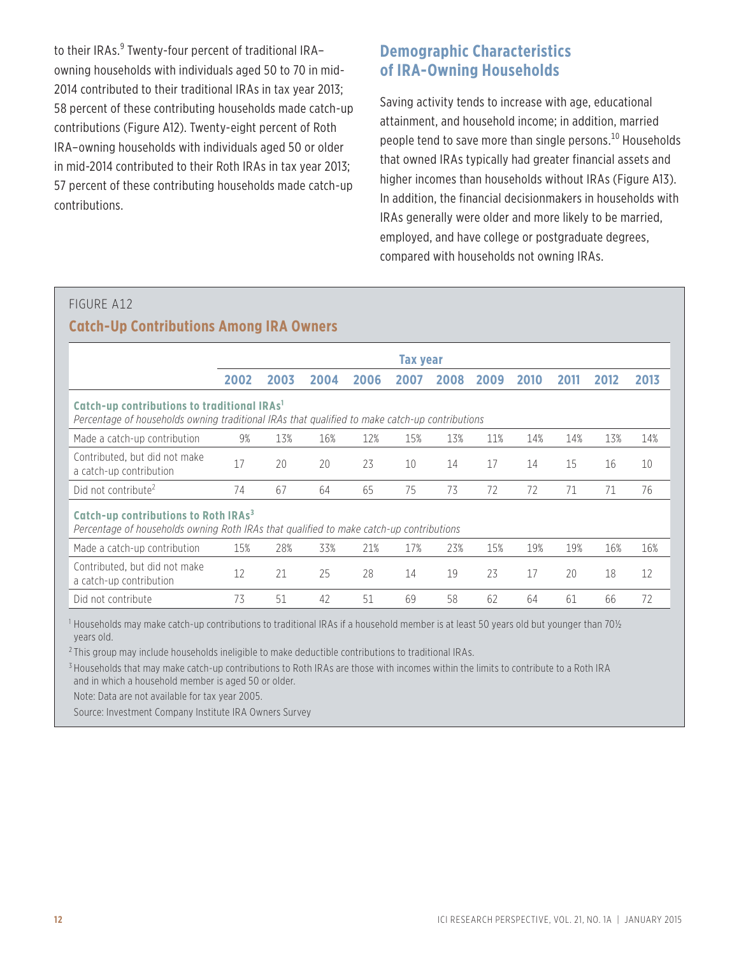to their IRAs.<sup>9</sup> Twenty-four percent of traditional IRA– owning households with individuals aged 50 to 70 in mid-2014 contributed to their traditional IRAs in tax year 2013; 58 percent of these contributing households made catch-up contributions (Figure A12). Twenty-eight percent of Roth IRA–owning households with individuals aged 50 or older in mid-2014 contributed to their Roth IRAs in tax year 2013; 57 percent of these contributing households made catch-up contributions.

## **Demographic Characteristics of IRA-Owning Households**

Saving activity tends to increase with age, educational attainment, and household income; in addition, married people tend to save more than single persons.<sup>10</sup> Households that owned IRAs typically had greater financial assets and higher incomes than households without IRAs (Figure A13). In addition, the financial decisionmakers in households with IRAs generally were older and more likely to be married, employed, and have college or postgraduate degrees, compared with households not owning IRAs.

## FIGURE A12 **Catch-Up Contributions Among IRA Owners**

|                                                                                                                                                           |      |      |      |      | Tax year |      |      |      |      |      |      |
|-----------------------------------------------------------------------------------------------------------------------------------------------------------|------|------|------|------|----------|------|------|------|------|------|------|
|                                                                                                                                                           | 2002 | 2003 | 2004 | 2006 | 2007     | 2008 | 2009 | 2010 | 2011 | 2012 | 2013 |
| Catch-up contributions to traditional IRAs <sup>1</sup><br>Percentage of households owning traditional IRAs that qualified to make catch-up contributions |      |      |      |      |          |      |      |      |      |      |      |
| Made a catch-up contribution                                                                                                                              | 9%   | 13%  | 16%  | 12%  | 15%      | 13%  | 11%  | 14%  | 14%  | 13%  | 14%  |
| Contributed, but did not make<br>a catch-up contribution                                                                                                  | 17   | 20   | 20   | 23   | 10       | 14   | 17   | 14   | 15   | 16   | 10   |
| Did not contribute <sup>2</sup>                                                                                                                           | 74   | 67   | 64   | 65   | 75       | 73   | 72   | 72   | 71   | 71   | 76   |
| Catch-up contributions to Roth IRAs <sup>3</sup><br>Percentage of households owning Roth IRAs that qualified to make catch-up contributions               |      |      |      |      |          |      |      |      |      |      |      |
| Made a catch-up contribution                                                                                                                              | 15%  | 28%  | 33%  | 21%  | 17%      | 23%  | 15%  | 19%  | 19%  | 16%  | 16%  |
| Contributed, but did not make<br>a catch-up contribution                                                                                                  | 12   | 21   | 25   | 28   | 14       | 19   | 23   | 17   | 20   | 18   | 12   |
| Did not contribute                                                                                                                                        | 73   | 51   | 42   | 51   | 69       | 58   | 62   | 64   | 61   | 66   | 72   |

 $^1$  Households may make catch-up contributions to traditional IRAs if a household member is at least 50 years old but younger than 70½ years old.

<sup>2</sup> This group may include households ineligible to make deductible contributions to traditional IRAs.

<sup>3</sup> Households that may make catch-up contributions to Roth IRAs are those with incomes within the limits to contribute to a Roth IRA and in which a household member is aged 50 or older.

Note: Data are not available for tax year 2005.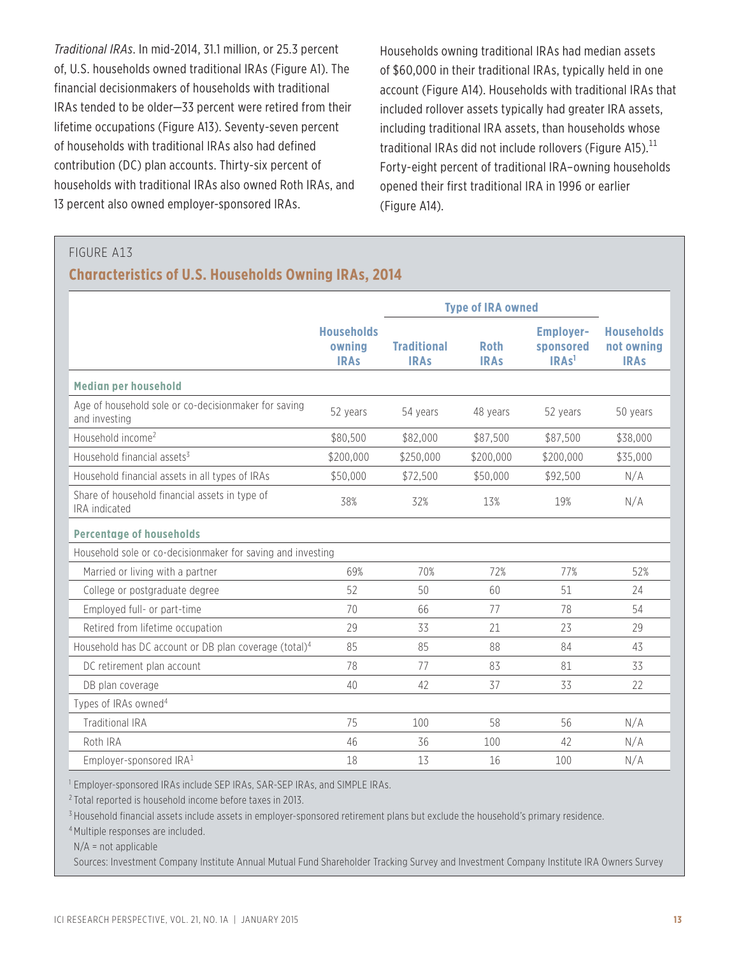*Traditional IRAs*. In mid-2014, 31.1 million, or 25.3 percent of, U.S. households owned traditional IRAs (Figure A1). The financial decisionmakers of households with traditional IRAs tended to be older—33 percent were retired from their lifetime occupations (Figure A13). Seventy-seven percent of households with traditional IRAs also had defined contribution (DC) plan accounts. Thirty-six percent of households with traditional IRAs also owned Roth IRAs, and 13 percent also owned employer-sponsored IRAs.

Households owning traditional IRAs had median assets of \$60,000 in their traditional IRAs, typically held in one account (Figure A14). Households with traditional IRAs that included rollover assets typically had greater IRA assets, including traditional IRA assets, than households whose traditional IRAs did not include rollovers (Figure A15). $^{11}$ Forty-eight percent of traditional IRA–owning households opened their first traditional IRA in 1996 or earlier (Figure A14).

#### FIGURE A13

## **Characteristics of U.S. Households Owning IRAs, 2014**

|                                                                       |                                            | <b>Type of IRA owned</b>          |                            |                                                    |                                                |
|-----------------------------------------------------------------------|--------------------------------------------|-----------------------------------|----------------------------|----------------------------------------------------|------------------------------------------------|
|                                                                       | <b>Households</b><br>owning<br><b>IRAs</b> | <b>Traditional</b><br><b>IRAs</b> | <b>Roth</b><br><b>IRAs</b> | <b>Employer-</b><br>sponsored<br>IRAs <sup>1</sup> | <b>Households</b><br>not owning<br><b>IRAs</b> |
| <b>Median per household</b>                                           |                                            |                                   |                            |                                                    |                                                |
| Age of household sole or co-decisionmaker for saving<br>and investing | 52 years                                   | 54 years                          | 48 years                   | 52 years                                           | 50 years                                       |
| Household income <sup>2</sup>                                         | \$80,500                                   | \$82,000                          | \$87,500                   | \$87,500                                           | \$38,000                                       |
| Household financial assets <sup>3</sup>                               | \$200,000                                  | \$250,000                         | \$200,000                  | \$200,000                                          | \$35,000                                       |
| Household financial assets in all types of IRAs                       | \$50,000                                   | \$72,500                          | \$50,000                   | \$92,500                                           | N/A                                            |
| Share of household financial assets in type of<br>IRA indicated       | 38%                                        | 32%                               | 13%                        | 19%                                                | N/A                                            |
| <b>Percentage of households</b>                                       |                                            |                                   |                            |                                                    |                                                |
| Household sole or co-decisionmaker for saving and investing           |                                            |                                   |                            |                                                    |                                                |
| Married or living with a partner                                      | 69%                                        | 70%                               | 72%                        | 77%                                                | 52%                                            |
| College or postgraduate degree                                        | 52                                         | 50                                | 60                         | 51                                                 | 24                                             |
| Employed full- or part-time                                           | 70                                         | 66                                | 77                         | 78                                                 | 54                                             |
| Retired from lifetime occupation                                      | 29                                         | 33                                | 21                         | 23                                                 | 29                                             |
| Household has DC account or DB plan coverage (total) <sup>4</sup>     | 85                                         | 85                                | 88                         | 84                                                 | 43                                             |
| DC retirement plan account                                            | 78                                         | 77                                | 83                         | 81                                                 | 33                                             |
| DB plan coverage                                                      | 40                                         | 42                                | 37                         | 33                                                 | 22                                             |
| Types of IRAs owned <sup>4</sup>                                      |                                            |                                   |                            |                                                    |                                                |
| <b>Traditional IRA</b>                                                | 75                                         | 100                               | 58                         | 56                                                 | N/A                                            |
| Roth IRA                                                              | 46                                         | 36                                | 100                        | 42                                                 | N/A                                            |
| Employer-sponsored IRA <sup>1</sup>                                   | 18                                         | 13                                | 16                         | 100                                                | N/A                                            |

<sup>1</sup> Employer-sponsored IRAs include SEP IRAs, SAR-SEP IRAs, and SIMPLE IRAs.

<sup>2</sup> Total reported is household income before taxes in 2013.

<sup>3</sup> Household financial assets include assets in employer-sponsored retirement plans but exclude the household's primary residence.

<sup>4</sup> Multiple responses are included.

N/A = not applicable

Sources: Investment Company Institute Annual Mutual Fund Shareholder Tracking Survey and Investment Company Institute IRA Owners Survey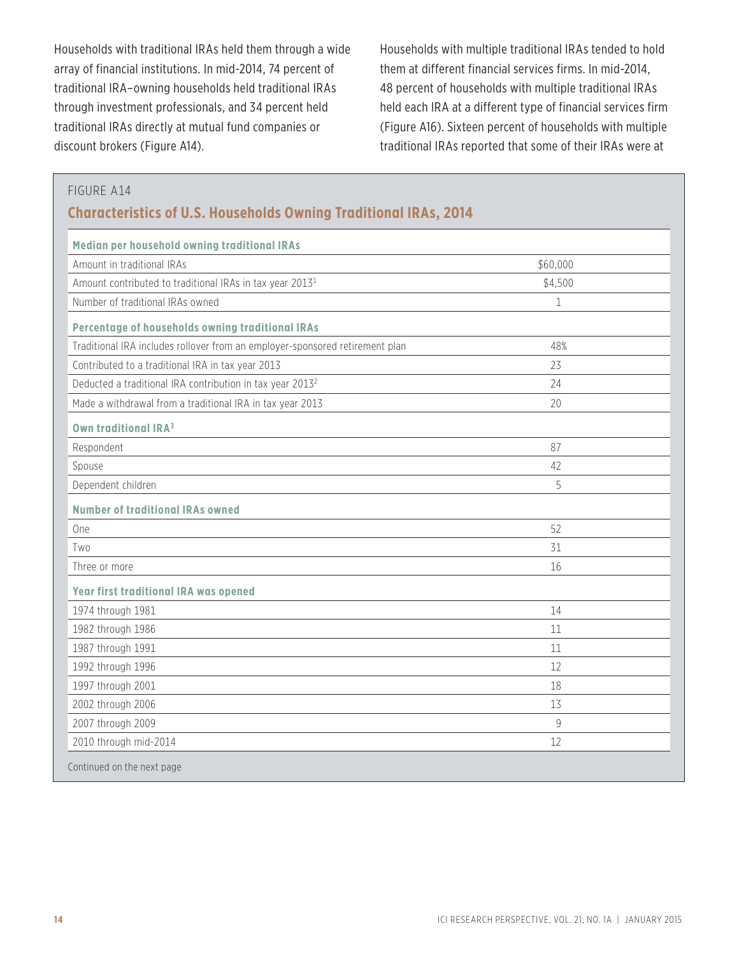Households with traditional IRAs held them through a wide array of financial institutions. In mid-2014, 74 percent of traditional IRA–owning households held traditional IRAs through investment professionals, and 34 percent held traditional IRAs directly at mutual fund companies or discount brokers (Figure A14).

Households with multiple traditional IRAs tended to hold them at different financial services firms. In mid-2014, 48 percent of households with multiple traditional IRAs held each IRA at a different type of financial services firm (Figure A16). Sixteen percent of households with multiple traditional IRAs reported that some of their IRAs were at

#### FIGURE A14

## **Characteristics of U.S. Households Owning Traditional IRAs, 2014**

| Median per household owning traditional IRAs                                 |             |
|------------------------------------------------------------------------------|-------------|
| Amount in traditional IRAs                                                   | \$60,000    |
| Amount contributed to traditional IRAs in tax year 2013 <sup>1</sup>         | \$4,500     |
| Number of traditional IRAs owned                                             | $\mathbf 1$ |
| Percentage of households owning traditional IRAs                             |             |
| Traditional IRA includes rollover from an employer-sponsored retirement plan | 48%         |
| Contributed to a traditional IRA in tax year 2013                            | 23          |
| Deducted a traditional IRA contribution in tax year 2013 <sup>2</sup>        | 24          |
| Made a withdrawal from a traditional IRA in tax year 2013                    | 20          |
| Own traditional IRA <sup>3</sup>                                             |             |
| Respondent                                                                   | 87          |
| Spouse                                                                       | 42          |
| Dependent children                                                           | 5           |
| <b>Number of traditional IRAs owned</b>                                      |             |
| One                                                                          | 52          |
| Two                                                                          | 31          |
| Three or more                                                                | 16          |
| <b>Year first traditional IRA was opened</b>                                 |             |
| 1974 through 1981                                                            | 14          |
| 1982 through 1986                                                            | 11          |
| 1987 through 1991                                                            | 11          |
| 1992 through 1996                                                            | 12          |
| 1997 through 2001                                                            | 18          |
| 2002 through 2006                                                            | 13          |
| 2007 through 2009                                                            | 9           |
| 2010 through mid-2014                                                        | 12          |
| Continued on the next page                                                   |             |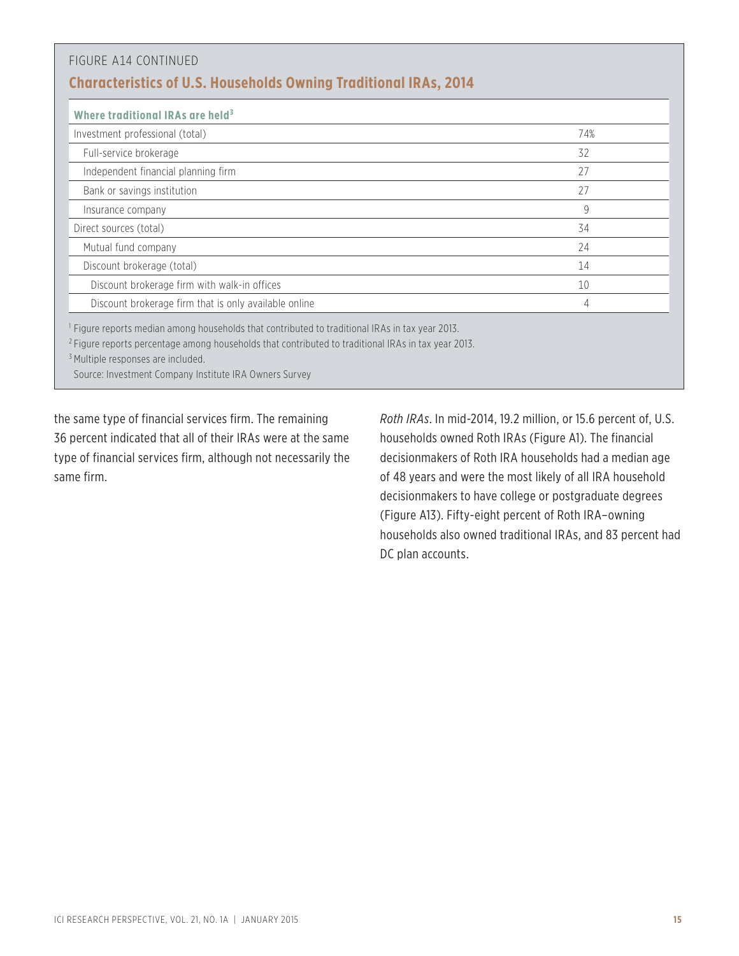| Where traditional IRAs are held <sup>3</sup>          |              |
|-------------------------------------------------------|--------------|
| Investment professional (total)                       | 74%          |
| Full-service brokerage                                | 32           |
| Independent financial planning firm                   | 27           |
| Bank or savings institution                           | 27           |
| Insurance company                                     | $\mathsf{Q}$ |
| Direct sources (total)                                | 34           |
| Mutual fund company                                   | 24           |
| Discount brokerage (total)                            | 14           |
| Discount brokerage firm with walk-in offices          | 10           |
| Discount brokerage firm that is only available online | 4            |

Source: Investment Company Institute IRA Owners Survey

the same type of financial services firm. The remaining 36 percent indicated that all of their IRAs were at the same type of financial services firm, although not necessarily the same firm.

*Roth IRAs*. In mid-2014, 19.2 million, or 15.6 percent of, U.S. households owned Roth IRAs (Figure A1). The financial decisionmakers of Roth IRA households had a median age of 48 years and were the most likely of all IRA household decisionmakers to have college or postgraduate degrees (Figure A13). Fifty-eight percent of Roth IRA–owning households also owned traditional IRAs, and 83 percent had DC plan accounts.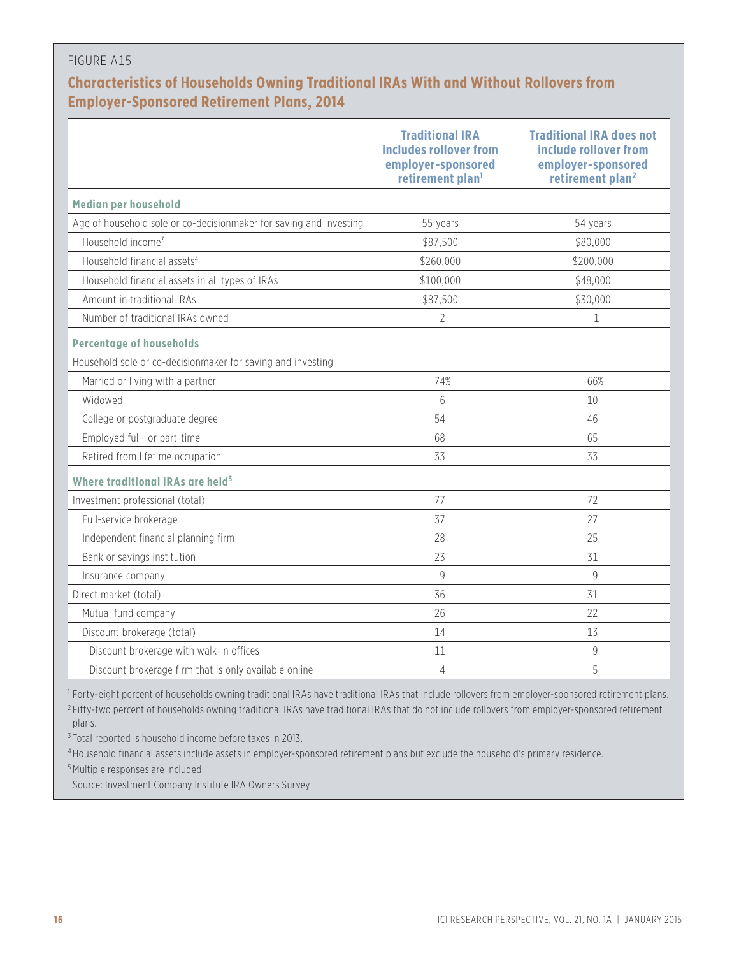## **Characteristics of Households Owning Traditional IRAs With and Without Rollovers from Employer-Sponsored Retirement Plans, 2014**

|                                                                    | <b>Traditional IRA</b><br>includes rollover from<br>employer-sponsored<br>retirement plan <sup>1</sup> | <b>Traditional IRA does not</b><br>include rollover from<br>employer-sponsored<br>retirement plan <sup>2</sup> |
|--------------------------------------------------------------------|--------------------------------------------------------------------------------------------------------|----------------------------------------------------------------------------------------------------------------|
| Median per household                                               |                                                                                                        |                                                                                                                |
| Age of household sole or co-decisionmaker for saving and investing | 55 years                                                                                               | 54 years                                                                                                       |
| Household income <sup>3</sup>                                      | \$87,500                                                                                               | \$80,000                                                                                                       |
| Household financial assets <sup>4</sup>                            | \$260,000                                                                                              | \$200,000                                                                                                      |
| Household financial assets in all types of IRAs                    | \$100,000                                                                                              | \$48,000                                                                                                       |
| Amount in traditional IRAs                                         | \$87,500                                                                                               | \$30,000                                                                                                       |
| Number of traditional IRAs owned                                   | $\overline{2}$                                                                                         | 1                                                                                                              |
| <b>Percentage of households</b>                                    |                                                                                                        |                                                                                                                |
| Household sole or co-decisionmaker for saving and investing        |                                                                                                        |                                                                                                                |
| Married or living with a partner                                   | 74%                                                                                                    | 66%                                                                                                            |
| Widowed                                                            | $6\overline{6}$                                                                                        | 10                                                                                                             |
| College or postgraduate degree                                     | 54                                                                                                     | 46                                                                                                             |
| Employed full- or part-time                                        | 68                                                                                                     | 65                                                                                                             |
| Retired from lifetime occupation                                   | 33                                                                                                     | 33                                                                                                             |
| Where traditional IRAs are held <sup>5</sup>                       |                                                                                                        |                                                                                                                |
| Investment professional (total)                                    | 77                                                                                                     | 72                                                                                                             |
| Full-service brokerage                                             | 37                                                                                                     | 27                                                                                                             |
| Independent financial planning firm                                | 28                                                                                                     | 25                                                                                                             |
| Bank or savings institution                                        | 23                                                                                                     | 31                                                                                                             |
| Insurance company                                                  | $\mathsf{Q}$                                                                                           | $\mathsf{Q}$                                                                                                   |
| Direct market (total)                                              | 36                                                                                                     | 31                                                                                                             |
| Mutual fund company                                                | 26                                                                                                     | 22                                                                                                             |
| Discount brokerage (total)                                         | 14                                                                                                     | 13                                                                                                             |
| Discount brokerage with walk-in offices                            | 11                                                                                                     | 9                                                                                                              |
| Discount brokerage firm that is only available online              | 4                                                                                                      | 5                                                                                                              |

<sup>1</sup> Forty-eight percent of households owning traditional IRAs have traditional IRAs that include rollovers from employer-sponsored retirement plans.

<sup>2</sup> Fifty-two percent of households owning traditional IRAs have traditional IRAs that do not include rollovers from employer-sponsored retirement plans.

 $3$  Total reported is household income before taxes in 2013.

<sup>4</sup> Household financial assets include assets in employer-sponsored retirement plans but exclude the household's primary residence.

<sup>5</sup> Multiple responses are included.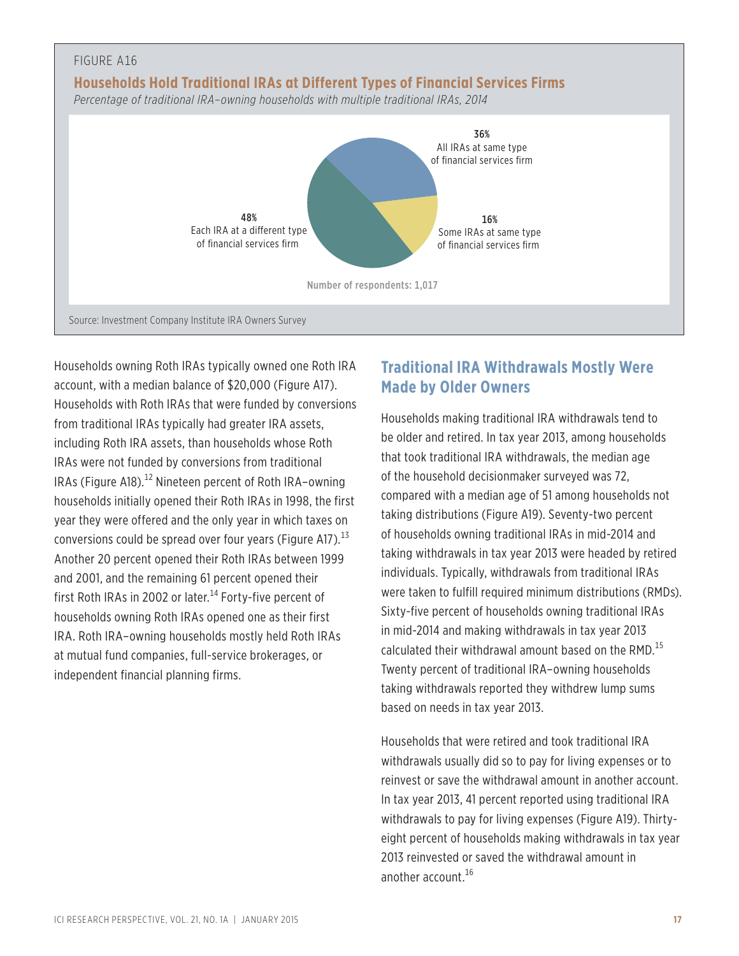

Households owning Roth IRAs typically owned one Roth IRA account, with a median balance of \$20,000 (Figure A17). Households with Roth IRAs that were funded by conversions from traditional IRAs typically had greater IRA assets, including Roth IRA assets, than households whose Roth IRAs were not funded by conversions from traditional IRAs (Figure A18).<sup>12</sup> Nineteen percent of Roth IRA-owning households initially opened their Roth IRAs in 1998, the first year they were offered and the only year in which taxes on conversions could be spread over four years (Figure A17).  $^{13}$ Another 20 percent opened their Roth IRAs between 1999 and 2001, and the remaining 61 percent opened their first Roth IRAs in 2002 or later.<sup>14</sup> Forty-five percent of households owning Roth IRAs opened one as their first IRA. Roth IRA–owning households mostly held Roth IRAs at mutual fund companies, full-service brokerages, or independent financial planning firms.

## **Traditional IRA Withdrawals Mostly Were Made by Older Owners**

Households making traditional IRA withdrawals tend to be older and retired. In tax year 2013, among households that took traditional IRA withdrawals, the median age of the household decisionmaker surveyed was 72, compared with a median age of 51 among households not taking distributions (Figure A19). Seventy-two percent of households owning traditional IRAs in mid-2014 and taking withdrawals in tax year 2013 were headed by retired individuals. Typically, withdrawals from traditional IRAs were taken to fulfill required minimum distributions (RMDs). Sixty-five percent of households owning traditional IRAs in mid-2014 and making withdrawals in tax year 2013 calculated their withdrawal amount based on the RMD.<sup>15</sup> Twenty percent of traditional IRA–owning households taking withdrawals reported they withdrew lump sums based on needs in tax year 2013.

Households that were retired and took traditional IRA withdrawals usually did so to pay for living expenses or to reinvest or save the withdrawal amount in another account. In tax year 2013, 41 percent reported using traditional IRA withdrawals to pay for living expenses (Figure A19). Thirtyeight percent of households making withdrawals in tax year 2013 reinvested or saved the withdrawal amount in another account.<sup>16</sup>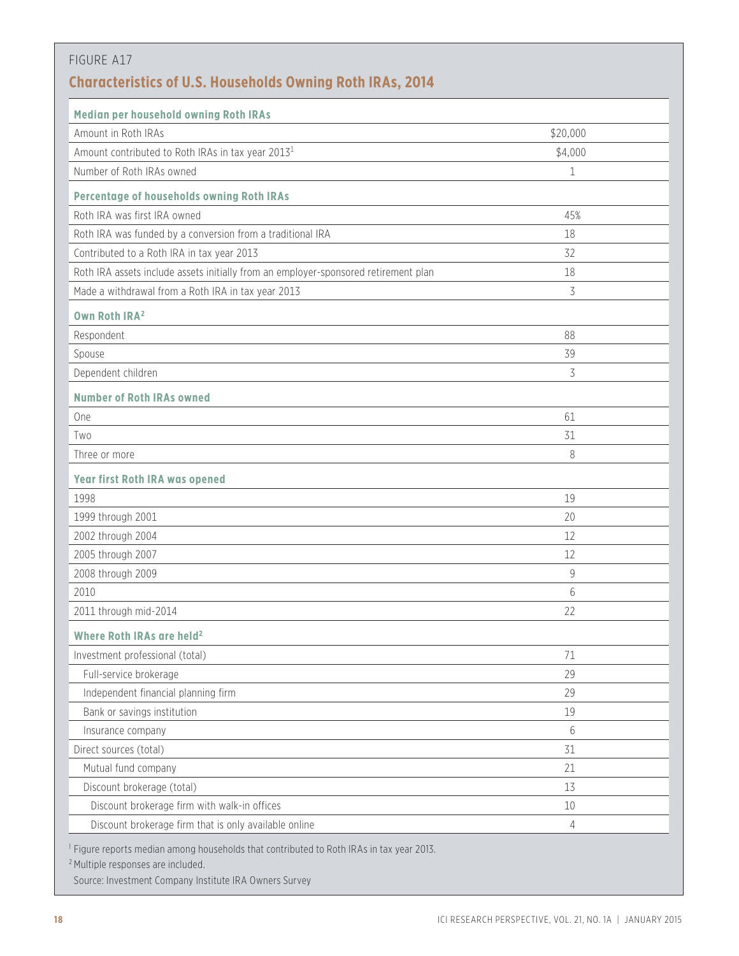| <b>Characteristics of U.S. Households Owning Roth IRAs, 2014</b>                    |          |
|-------------------------------------------------------------------------------------|----------|
| Median per household owning Roth IRAs                                               |          |
| Amount in Roth IRAs                                                                 | \$20,000 |
| Amount contributed to Roth IRAs in tax year 2013 <sup>1</sup>                       | \$4,000  |
| Number of Roth IRAs owned                                                           | 1        |
| Percentage of households owning Roth IRAs                                           |          |
| Roth IRA was first IRA owned                                                        | 45%      |
| Roth IRA was funded by a conversion from a traditional IRA                          | 18       |
| Contributed to a Roth IRA in tax year 2013                                          | 32       |
| Roth IRA assets include assets initially from an employer-sponsored retirement plan | 18       |
| Made a withdrawal from a Roth IRA in tax year 2013                                  | 3        |
| Own Roth IRA <sup>2</sup>                                                           |          |
| Respondent                                                                          | 88       |
| Spouse                                                                              | 39       |
| Dependent children                                                                  | 3        |
| <b>Number of Roth IRAs owned</b>                                                    |          |
| One                                                                                 | 61       |
| Two                                                                                 | 31       |
| Three or more                                                                       | 8        |
| <b>Year first Roth IRA was opened</b>                                               |          |
| 1998                                                                                | 19       |
| 1999 through 2001                                                                   | 20       |
| 2002 through 2004                                                                   | 12       |
| 2005 through 2007                                                                   | 12       |
| 2008 through 2009                                                                   | 9        |
| 2010                                                                                | 6        |
| 2011 through mid-2014                                                               | 22       |
| Where Roth IRAs are held <sup>2</sup>                                               |          |
| Investment professional (total)                                                     | 71       |
| Full-service brokerage                                                              | 29       |
| Independent financial planning firm                                                 | 29       |
| Bank or savings institution                                                         | 19       |
| Insurance company                                                                   | 6        |
| Direct sources (total)                                                              | 31       |
| Mutual fund company                                                                 | 21       |
| Discount brokerage (total)                                                          | 13       |
| Discount brokerage firm with walk-in offices                                        | $10\,$   |
| Discount brokerage firm that is only available online                               | 4        |

<sup>2</sup> Multiple responses are included.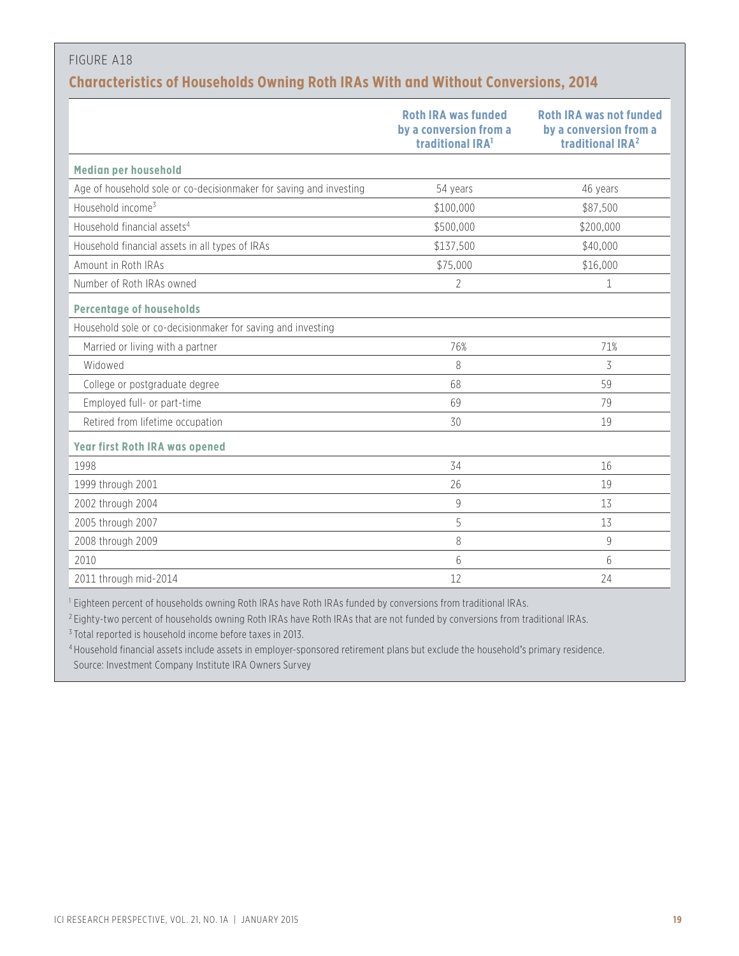## **Characteristics of Households Owning Roth IRAs With and Without Conversions, 2014**

|                                                                    | <b>Roth IRA was funded</b><br>by a conversion from a<br>traditional IRA <sup>1</sup> | <b>Roth IRA was not funded</b><br>by a conversion from a<br>traditional IRA <sup>2</sup> |
|--------------------------------------------------------------------|--------------------------------------------------------------------------------------|------------------------------------------------------------------------------------------|
| Median per household                                               |                                                                                      |                                                                                          |
| Age of household sole or co-decisionmaker for saving and investing | 54 years                                                                             | 46 years                                                                                 |
| Household income <sup>3</sup>                                      | \$100,000                                                                            | \$87,500                                                                                 |
| Household financial assets <sup>4</sup>                            | \$500,000                                                                            | \$200,000                                                                                |
| Household financial assets in all types of IRAs                    | \$137,500                                                                            | \$40,000                                                                                 |
| Amount in Roth IRAs                                                | \$75,000                                                                             | \$16,000                                                                                 |
| Number of Roth IRAs owned                                          | 2                                                                                    | 1                                                                                        |
| <b>Percentage of households</b>                                    |                                                                                      |                                                                                          |
| Household sole or co-decisionmaker for saving and investing        |                                                                                      |                                                                                          |
| Married or living with a partner                                   | 76%                                                                                  | 71%                                                                                      |
| Widowed                                                            | 8                                                                                    | 3                                                                                        |
| College or postgraduate degree                                     | 68                                                                                   | 59                                                                                       |
| Employed full- or part-time                                        | 69                                                                                   | 79                                                                                       |
| Retired from lifetime occupation                                   | 30                                                                                   | 19                                                                                       |
| <b>Year first Roth IRA was opened</b>                              |                                                                                      |                                                                                          |
| 1998                                                               | 34                                                                                   | 16                                                                                       |
| 1999 through 2001                                                  | 26                                                                                   | 19                                                                                       |
| 2002 through 2004                                                  | 9                                                                                    | 13                                                                                       |
| 2005 through 2007                                                  | 5                                                                                    | 13                                                                                       |
| 2008 through 2009                                                  | 8                                                                                    | 9                                                                                        |
| 2010                                                               | 6                                                                                    | 6                                                                                        |
| 2011 through mid-2014                                              | 12                                                                                   | 24                                                                                       |

<sup>1</sup> Eighteen percent of households owning Roth IRAs have Roth IRAs funded by conversions from traditional IRAs.

<sup>2</sup> Eighty-two percent of households owning Roth IRAs have Roth IRAs that are not funded by conversions from traditional IRAs.

<sup>3</sup> Total reported is household income before taxes in 2013.

<sup>4</sup> Household financial assets include assets in employer-sponsored retirement plans but exclude the household's primary residence. Source: Investment Company Institute IRA Owners Survey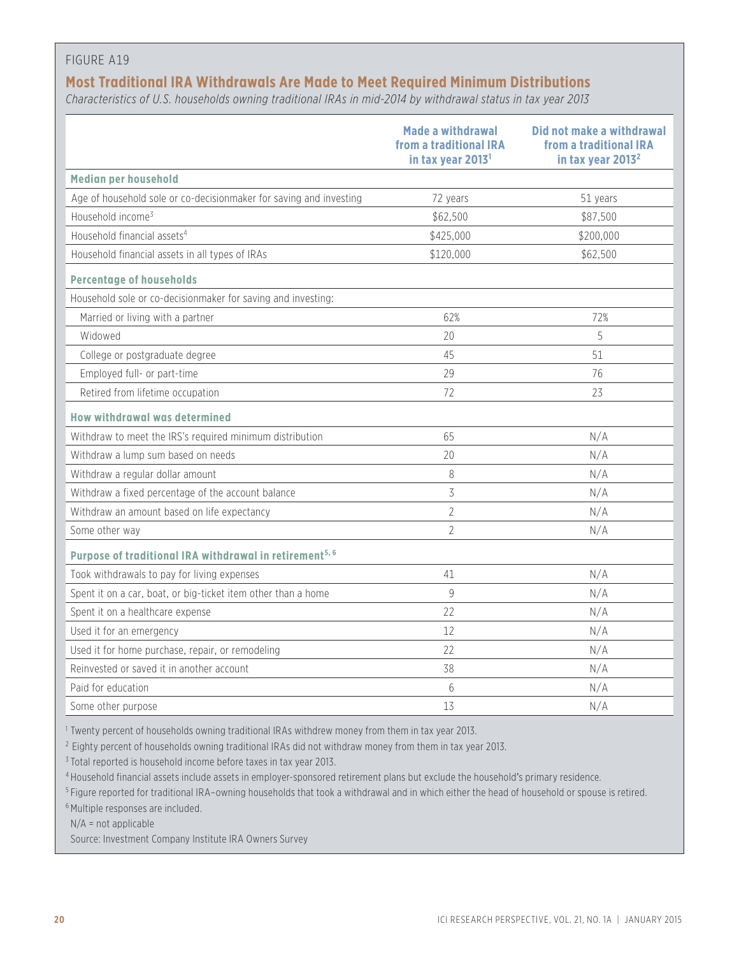#### **Most Traditional IRA Withdrawals Are Made to Meet Required Minimum Distributions**

*Characteristics of U.S. households owning traditional IRAs in mid-2014 by withdrawal status in tax year 2013*

|                                                                     | Made a withdrawal<br>from a traditional IRA<br>in tax year 2013 <sup>1</sup> | Did not make a withdrawal<br>from a traditional IRA<br>in tax year 2013 <sup>2</sup> |
|---------------------------------------------------------------------|------------------------------------------------------------------------------|--------------------------------------------------------------------------------------|
| Median per household                                                |                                                                              |                                                                                      |
| Age of household sole or co-decisionmaker for saving and investing  | 72 years                                                                     | 51 years                                                                             |
| Household income <sup>3</sup>                                       | \$62,500                                                                     | \$87,500                                                                             |
| Household financial assets <sup>4</sup>                             | \$425,000                                                                    | \$200,000                                                                            |
| Household financial assets in all types of IRAs                     | \$120,000                                                                    | \$62,500                                                                             |
| <b>Percentage of households</b>                                     |                                                                              |                                                                                      |
| Household sole or co-decisionmaker for saving and investing:        |                                                                              |                                                                                      |
| Married or living with a partner                                    | 62%                                                                          | 72%                                                                                  |
| Widowed                                                             | 20                                                                           | 5                                                                                    |
| College or postgraduate degree                                      | 45                                                                           | 51                                                                                   |
| Employed full- or part-time                                         | 29                                                                           | 76                                                                                   |
| Retired from lifetime occupation                                    | 72                                                                           | 23                                                                                   |
| How withdrawal was determined                                       |                                                                              |                                                                                      |
| Withdraw to meet the IRS's required minimum distribution            | 65                                                                           | N/A                                                                                  |
| Withdraw a lump sum based on needs                                  | 20                                                                           | N/A                                                                                  |
| Withdraw a regular dollar amount                                    | 8                                                                            | N/A                                                                                  |
| Withdraw a fixed percentage of the account balance                  | 3                                                                            | N/A                                                                                  |
| Withdraw an amount based on life expectancy                         | $\overline{2}$                                                               | N/A                                                                                  |
| Some other way                                                      | $\overline{2}$                                                               | N/A                                                                                  |
| Purpose of traditional IRA withdrawal in retirement <sup>5, 6</sup> |                                                                              |                                                                                      |
| Took withdrawals to pay for living expenses                         | 41                                                                           | N/A                                                                                  |
| Spent it on a car, boat, or big-ticket item other than a home       | 9                                                                            | N/A                                                                                  |
| Spent it on a healthcare expense                                    | 22                                                                           | N/A                                                                                  |
| Used it for an emergency                                            | 12                                                                           | N/A                                                                                  |
| Used it for home purchase, repair, or remodeling                    | 22                                                                           | N/A                                                                                  |
| Reinvested or saved it in another account                           | 38                                                                           | N/A                                                                                  |
| Paid for education                                                  | 6                                                                            | N/A                                                                                  |
| Some other purpose                                                  | 13                                                                           | N/A                                                                                  |

<sup>1</sup> Twenty percent of households owning traditional IRAs withdrew money from them in tax year 2013.

<sup>2</sup> Eighty percent of households owning traditional IRAs did not withdraw money from them in tax year 2013.

<sup>3</sup> Total reported is household income before taxes in tax year 2013.

<sup>4</sup> Household financial assets include assets in employer-sponsored retirement plans but exclude the household's primary residence.

<sup>5</sup> Figure reported for traditional IRA–owning households that took a withdrawal and in which either the head of household or spouse is retired.

<sup>6</sup> Multiple responses are included.

N/A = not applicable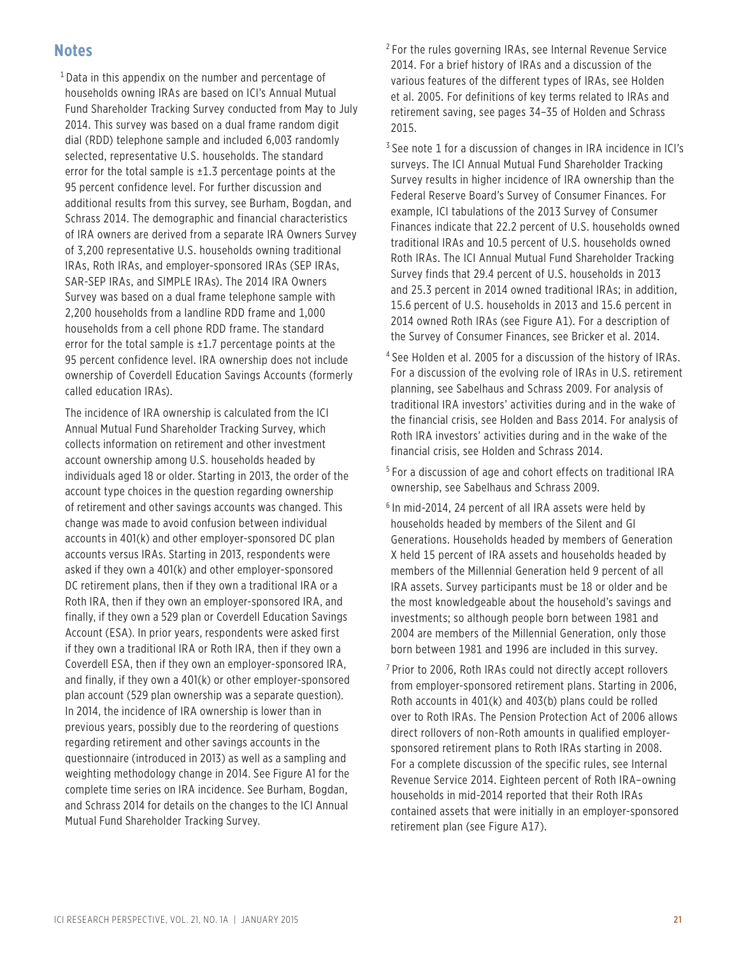#### **Notes**

 1 Data in this appendix on the number and percentage of households owning IRAs are based on ICI's Annual Mutual Fund Shareholder Tracking Survey conducted from May to July 2014. This survey was based on a dual frame random digit dial (RDD) telephone sample and included 6,003 randomly selected, representative U.S. households. The standard error for the total sample is  $\pm 1.3$  percentage points at the 95 percent confidence level. For further discussion and additional results from this survey, see Burham, Bogdan, and Schrass 2014. The demographic and financial characteristics of IRA owners are derived from a separate IRA Owners Survey of 3,200 representative U.S. households owning traditional IRAs, Roth IRAs, and employer-sponsored IRAs (SEP IRAs, SAR-SEP IRAs, and SIMPLE IRAs). The 2014 IRA Owners Survey was based on a dual frame telephone sample with 2,200 households from a landline RDD frame and 1,000 households from a cell phone RDD frame. The standard error for the total sample is  $\pm 1.7$  percentage points at the 95 percent confidence level. IRA ownership does not include ownership of Coverdell Education Savings Accounts (formerly called education IRAs).

The incidence of IRA ownership is calculated from the ICI Annual Mutual Fund Shareholder Tracking Survey, which collects information on retirement and other investment account ownership among U.S. households headed by individuals aged 18 or older. Starting in 2013, the order of the account type choices in the question regarding ownership of retirement and other savings accounts was changed. This change was made to avoid confusion between individual accounts in 401(k) and other employer-sponsored DC plan accounts versus IRAs. Starting in 2013, respondents were asked if they own a 401(k) and other employer-sponsored DC retirement plans, then if they own a traditional IRA or a Roth IRA, then if they own an employer-sponsored IRA, and finally, if they own a 529 plan or Coverdell Education Savings Account (ESA). In prior years, respondents were asked first if they own a traditional IRA or Roth IRA, then if they own a Coverdell ESA, then if they own an employer-sponsored IRA, and finally, if they own a 401(k) or other employer-sponsored plan account (529 plan ownership was a separate question). In 2014, the incidence of IRA ownership is lower than in previous years, possibly due to the reordering of questions regarding retirement and other savings accounts in the questionnaire (introduced in 2013) as well as a sampling and weighting methodology change in 2014. See Figure A1 for the complete time series on IRA incidence. See Burham, Bogdan, and Schrass 2014 for details on the changes to the ICI Annual Mutual Fund Shareholder Tracking Survey.

 $2$  For the rules governing IRAs, see Internal Revenue Service 2014. For a brief history of IRAs and a discussion of the various features of the different types of IRAs, see Holden et al. 2005. For definitions of key terms related to IRAs and retirement saving, see pages 34–35 of Holden and Schrass 2015.

 3 See note 1 for a discussion of changes in IRA incidence in ICI's surveys. The ICI Annual Mutual Fund Shareholder Tracking Survey results in higher incidence of IRA ownership than the Federal Reserve Board's Survey of Consumer Finances. For example, ICI tabulations of the 2013 Survey of Consumer Finances indicate that 22.2 percent of U.S. households owned traditional IRAs and 10.5 percent of U.S. households owned Roth IRAs. The ICI Annual Mutual Fund Shareholder Tracking Survey finds that 29.4 percent of U.S. households in 2013 and 25.3 percent in 2014 owned traditional IRAs; in addition, 15.6 percent of U.S. households in 2013 and 15.6 percent in 2014 owned Roth IRAs (see Figure A1). For a description of the Survey of Consumer Finances, see Bricker et al. 2014.

- <sup>4</sup> See Holden et al. 2005 for a discussion of the history of IRAs. For a discussion of the evolving role of IRAs in U.S. retirement planning, see Sabelhaus and Schrass 2009. For analysis of traditional IRA investors' activities during and in the wake of the financial crisis, see Holden and Bass 2014. For analysis of Roth IRA investors' activities during and in the wake of the financial crisis, see Holden and Schrass 2014.
- 5 For a discussion of age and cohort effects on traditional IRA ownership, see Sabelhaus and Schrass 2009.
- 6 In mid-2014, 24 percent of all IRA assets were held by households headed by members of the Silent and GI Generations. Households headed by members of Generation X held 15 percent of IRA assets and households headed by members of the Millennial Generation held 9 percent of all IRA assets. Survey participants must be 18 or older and be the most knowledgeable about the household's savings and investments; so although people born between 1981 and 2004 are members of the Millennial Generation, only those born between 1981 and 1996 are included in this survey.
- <sup>7</sup> Prior to 2006, Roth IRAs could not directly accept rollovers from employer-sponsored retirement plans. Starting in 2006, Roth accounts in 401(k) and 403(b) plans could be rolled over to Roth IRAs. The Pension Protection Act of 2006 allows direct rollovers of non-Roth amounts in qualified employersponsored retirement plans to Roth IRAs starting in 2008. For a complete discussion of the specific rules, see Internal Revenue Service 2014. Eighteen percent of Roth IRA–owning households in mid-2014 reported that their Roth IRAs contained assets that were initially in an employer-sponsored retirement plan (see Figure A17).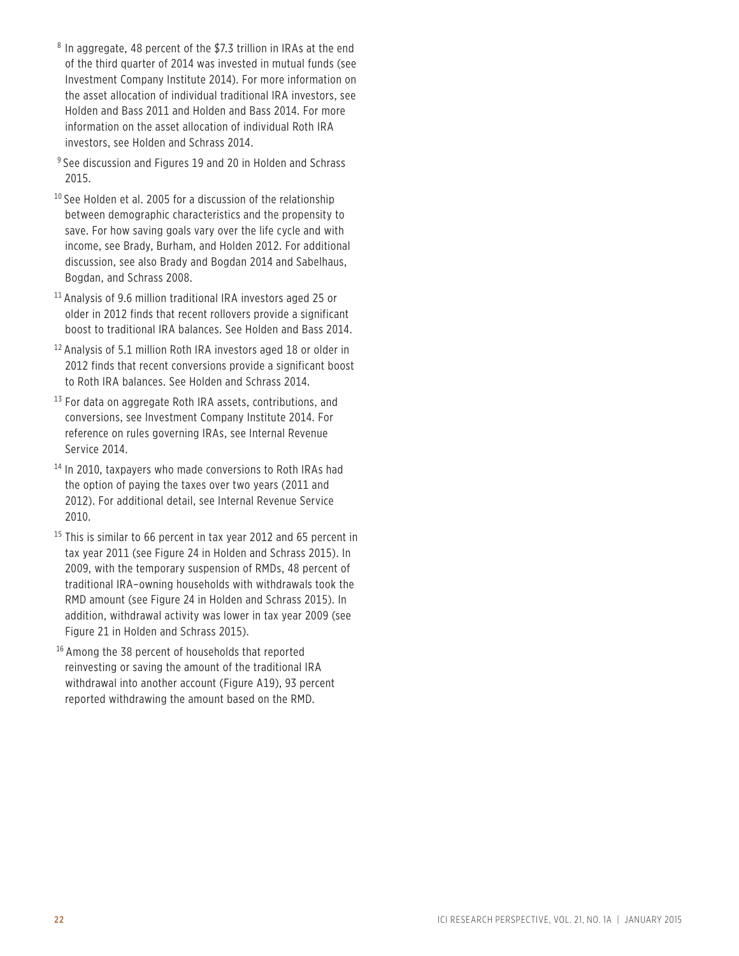- 8 In aggregate, 48 percent of the \$7.3 trillion in IRAs at the end of the third quarter of 2014 was invested in mutual funds (see Investment Company Institute 2014). For more information on the asset allocation of individual traditional IRA investors, see Holden and Bass 2011 and Holden and Bass 2014. For more information on the asset allocation of individual Roth IRA investors, see Holden and Schrass 2014.
- <sup>9</sup> See discussion and Figures 19 and 20 in Holden and Schrass 2015.
- <sup>10</sup> See Holden et al. 2005 for a discussion of the relationship between demographic characteristics and the propensity to save. For how saving goals vary over the life cycle and with income, see Brady, Burham, and Holden 2012. For additional discussion, see also Brady and Bogdan 2014 and Sabelhaus, Bogdan, and Schrass 2008.
- <sup>11</sup> Analysis of 9.6 million traditional IRA investors aged 25 or older in 2012 finds that recent rollovers provide a significant boost to traditional IRA balances. See Holden and Bass 2014.
- <sup>12</sup> Analysis of 5.1 million Roth IRA investors aged 18 or older in 2012 finds that recent conversions provide a significant boost to Roth IRA balances. See Holden and Schrass 2014.
- $13$  For data on aggregate Roth IRA assets, contributions, and conversions, see Investment Company Institute 2014. For reference on rules governing IRAs, see Internal Revenue Service 2014.
- <sup>14</sup> In 2010, taxpayers who made conversions to Roth IRAs had the option of paying the taxes over two years (2011 and 2012). For additional detail, see Internal Revenue Service 2010.
- <sup>15</sup> This is similar to 66 percent in tax year 2012 and 65 percent in tax year 2011 (see Figure 24 in Holden and Schrass 2015). In 2009, with the temporary suspension of RMDs, 48 percent of traditional IRA–owning households with withdrawals took the RMD amount (see Figure 24 in Holden and Schrass 2015). In addition, withdrawal activity was lower in tax year 2009 (see Figure 21 in Holden and Schrass 2015).
- <sup>16</sup> Among the 38 percent of households that reported reinvesting or saving the amount of the traditional IRA withdrawal into another account (Figure A19), 93 percent reported withdrawing the amount based on the RMD.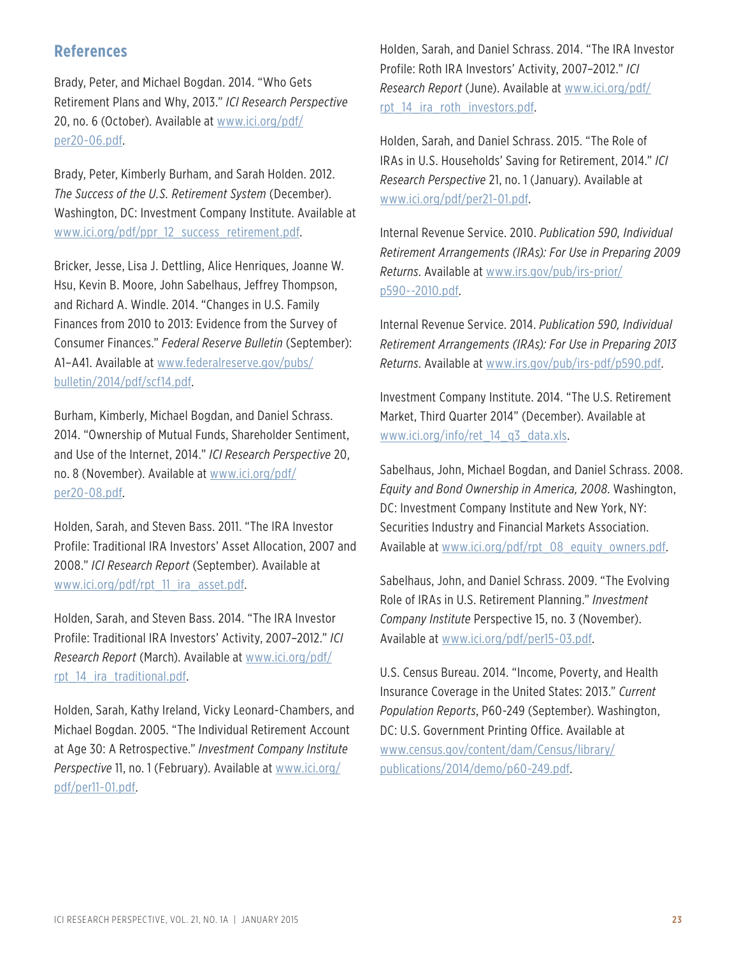## **References**

Brady, Peter, and Michael Bogdan. 2014. "Who Gets Retirement Plans and Why, 2013." *ICI Research Perspective* 20, no. 6 (October). Available at [www.ici.org/pdf](www.ici.org/pdf/per20-06.pdf)/ [per20-06.pdf](www.ici.org/pdf/per20-06.pdf).

Brady, Peter, Kimberly Burham, and Sarah Holden. 2012. *The Success of the U.S. Retirement System* (December). Washington, DC: Investment Company Institute. Available at [www.ici.org/pdf/ppr\\_12\\_success\\_retirement.pdf](www.ici.org/pdf/ppr_12_success_retirement.pdf).

Bricker, Jesse, Lisa J. Dettling, Alice Henriques, Joanne W. Hsu, Kevin B. Moore, John Sabelhaus, Jeffrey Thompson, and Richard A. Windle. 2014. "Changes in U.S. Family Finances from 2010 to 2013: Evidence from the Survey of Consumer Finances." *Federal Reserve Bulletin* (September): A1–A41. Available at [www.federalreserve.gov/pubs/](www.federalreserve.gov/pubs/bulletin/2014/pdf/scf14.pdf) [bulletin/2014/pdf/scf14.pdf.](www.federalreserve.gov/pubs/bulletin/2014/pdf/scf14.pdf)

Burham, Kimberly, Michael Bogdan, and Daniel Schrass. 2014. "Ownership of Mutual Funds, Shareholder Sentiment, and Use of the Internet, 2014." *ICI Research Perspective* 20, no. 8 (November). Available at [www.ici.org/pdf/](www.ici.org/pdf/per20-08.pdf) [per20-08.pdf](www.ici.org/pdf/per20-08.pdf).

Holden, Sarah, and Steven Bass. 2011. "The IRA Investor Profile: Traditional IRA Investors' Asset Allocation, 2007 and 2008." *ICI Research Report* (September). Available at [www.ici.org/pdf/rpt\\_11\\_ira\\_asset.pdf](www.ici.org/pdf/rpt_11_ira_asset.pdf).

Holden, Sarah, and Steven Bass. 2014. "The IRA Investor Profile: Traditional IRA Investors' Activity, 2007–2012." *ICI Research Report* (March). Available at [www.ici.org/pdf/](www.ici.org/pdf/rpt_14_ira_traditional.pdf) [rpt\\_14\\_ira\\_traditional.pdf](www.ici.org/pdf/rpt_14_ira_traditional.pdf).

Holden, Sarah, Kathy Ireland, Vicky Leonard-Chambers, and Michael Bogdan. 2005. "The Individual Retirement Account at Age 30: A Retrospective." *Investment Company Institute Perspective* 11, no. 1 (February). Available at [www.ici.org/](www.ici.org/pdf/per11-01.pdf) [pdf/per11-01.pdf](www.ici.org/pdf/per11-01.pdf).

Holden, Sarah, and Daniel Schrass. 2014. "The IRA Investor Profile: Roth IRA Investors' Activity, 2007–2012." *ICI Research Report* (June). Available at [www.ici.org/pdf/](www.ici.org/pdf/rpt_14_ira_roth_investors.pdf) [rpt\\_14\\_ira\\_roth\\_investors.pdf.](www.ici.org/pdf/rpt_14_ira_roth_investors.pdf)

Holden, Sarah, and Daniel Schrass. 2015. "The Role of IRAs in U.S. Households' Saving for Retirement, 2014." *ICI Research Perspective* 21, no. 1 (January). Available at [www.ici.org/pdf/per21-01.pdf.](www.ici.org/pdf/per21-01.pdf)

Internal Revenue Service. 2010. *Publication 590, Individual Retirement Arrangements (IRAs): For Use in Preparing 2009 Returns*. Available at [www.irs.gov/pub/irs-prior/](www.irs.gov/pub/irs-prior/p590--2010.pdf) [p590--2010.pdf](www.irs.gov/pub/irs-prior/p590--2010.pdf).

Internal Revenue Service. 2014. *Publication 590, Individual Retirement Arrangements (IRAs): For Use in Preparing 2013 Returns*. Available at [www.irs.gov/pub/irs-pdf/p590.pdf.](www.irs.gov/pub/irs-pdf/p590.pdf)

Investment Company Institute. 2014. "The U.S. Retirement Market, Third Quarter 2014" (December). Available at [www.ici.org/info/ret\\_14\\_q3\\_data.xls](www.ici.org/info/ret_14_q3_data.xls).

Sabelhaus, John, Michael Bogdan, and Daniel Schrass. 2008. *Equity and Bond Ownership in America, 2008*. Washington, DC: Investment Company Institute and New York, NY: Securities Industry and Financial Markets Association. Available at [www.ici.org/pdf/rpt\\_08\\_equity\\_owners.pdf.](www.ici.org/pdf/rpt_08_equity_owners.pdf)

Sabelhaus, John, and Daniel Schrass. 2009. "The Evolving Role of IRAs in U.S. Retirement Planning." *Investment Company Institute* Perspective 15, no. 3 (November). Available at [www.ici.org/pdf/per15-03.pdf.](www.ici.org/pdf/per15-03.pdf)

U.S. Census Bureau. 2014. "Income, Poverty, and Health Insurance Coverage in the United States: 2013." *Current Population Reports*, P60-249 (September). Washington, DC: U.S. Government Printing Office. Available at [www.census.gov/content/dam/Census/library/](www.census.gov/content/dam/Census/library/publications/2014/demo/p60-249.pdf) [publications/2014/demo/p60-249.pdf](www.census.gov/content/dam/Census/library/publications/2014/demo/p60-249.pdf).